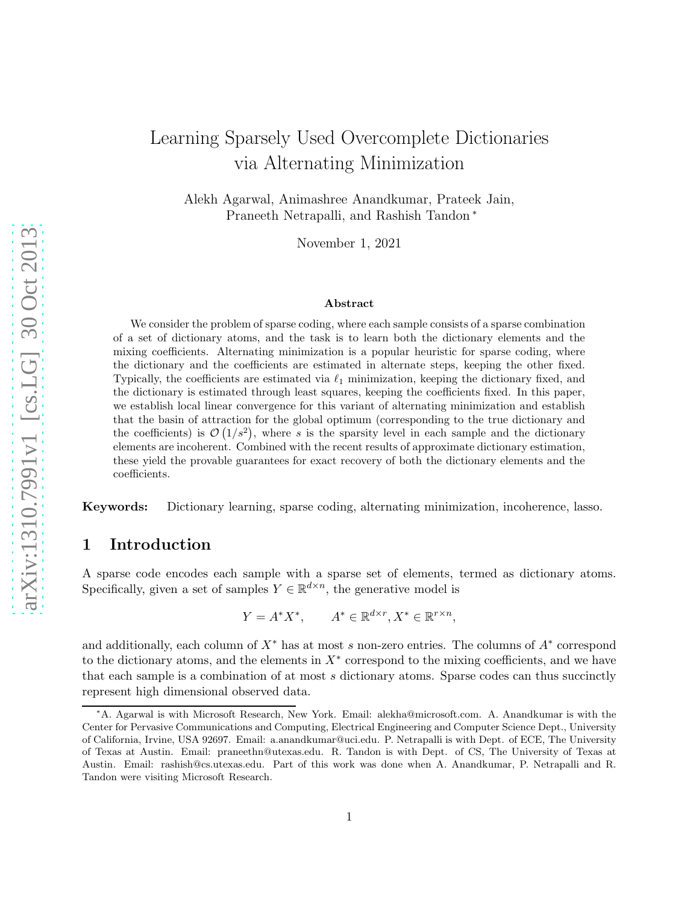# Learning Sparsely Used Overcomplete Dictionaries via Alternating Minimization

Alekh Agarwal, Animashree Anandkumar, Prateek Jain, Praneeth Netrapalli, and Rashish Tandon <sup>∗</sup>

November 1, 2021

#### Abstract

We consider the problem of sparse coding, where each sample consists of a sparse combination of a set of dictionary atoms, and the task is to learn both the dictionary elements and the mixing coefficients. Alternating minimization is a popular heuristic for sparse coding, where the dictionary and the coefficients are estimated in alternate steps, keeping the other fixed. Typically, the coefficients are estimated via  $\ell_1$  minimization, keeping the dictionary fixed, and the dictionary is estimated through least squares, keeping the coefficients fixed. In this paper, we establish local linear convergence for this variant of alternating minimization and establish that the basin of attraction for the global optimum (corresponding to the true dictionary and the coefficients) is  $\mathcal{O}(1/s^2)$ , where s is the sparsity level in each sample and the dictionary elements are incoherent. Combined with the recent results of approximate dictionary estimation, these yield the provable guarantees for exact recovery of both the dictionary elements and the coefficients.

Keywords: Dictionary learning, sparse coding, alternating minimization, incoherence, lasso.

# 1 Introduction

A sparse code encodes each sample with a sparse set of elements, termed as dictionary atoms. Specifically, given a set of samples  $Y \in \mathbb{R}^{d \times n}$ , the generative model is

$$
Y = A^* X^*, \qquad A^* \in \mathbb{R}^{d \times r}, X^* \in \mathbb{R}^{r \times n},
$$

and additionally, each column of  $X^*$  has at most s non-zero entries. The columns of  $A^*$  correspond to the dictionary atoms, and the elements in  $X^*$  correspond to the mixing coefficients, and we have that each sample is a combination of at most s dictionary atoms. Sparse codes can thus succinctly represent high dimensional observed data.

<sup>∗</sup>A. Agarwal is with Microsoft Research, New York. Email: alekha@microsoft.com. A. Anandkumar is with the Center for Pervasive Communications and Computing, Electrical Engineering and Computer Science Dept., University of California, Irvine, USA 92697. Email: a.anandkumar@uci.edu. P. Netrapalli is with Dept. of ECE, The University of Texas at Austin. Email: praneethn@utexas.edu. R. Tandon is with Dept. of CS, The University of Texas at Austin. Email: rashish@cs.utexas.edu. Part of this work was done when A. Anandkumar, P. Netrapalli and R. Tandon were visiting Microsoft Research.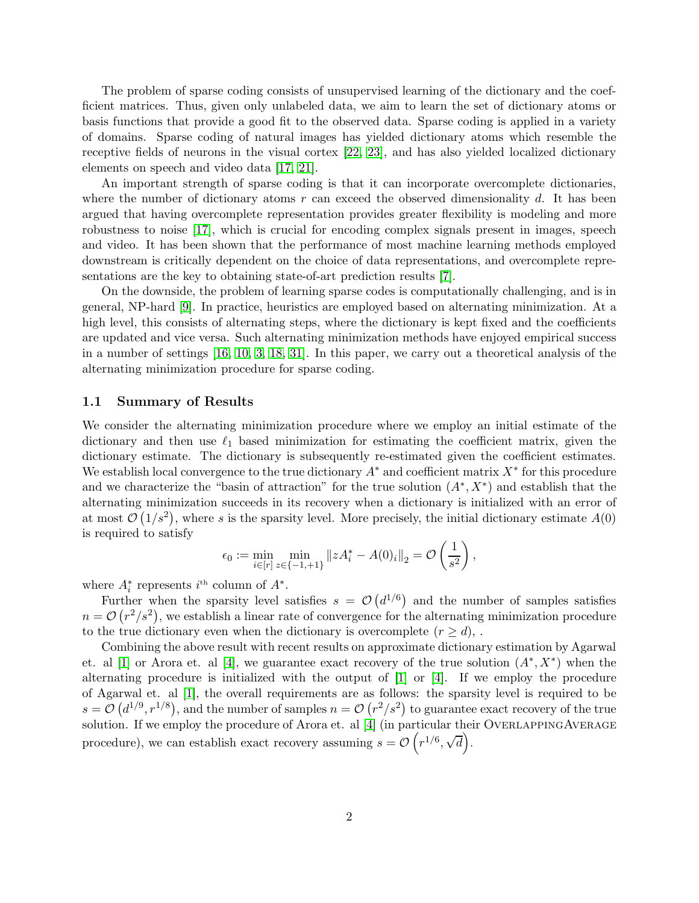The problem of sparse coding consists of unsupervised learning of the dictionary and the coefficient matrices. Thus, given only unlabeled data, we aim to learn the set of dictionary atoms or basis functions that provide a good fit to the observed data. Sparse coding is applied in a variety of domains. Sparse coding of natural images has yielded dictionary atoms which resemble the receptive fields of neurons in the visual cortex [\[22,](#page-11-0) [23\]](#page-11-1), and has also yielded localized dictionary elements on speech and video data [\[17,](#page-10-0) [21\]](#page-11-2).

An important strength of sparse coding is that it can incorporate overcomplete dictionaries, where the number of dictionary atoms  $r$  can exceed the observed dimensionality  $d$ . It has been argued that having overcomplete representation provides greater flexibility is modeling and more robustness to noise [\[17\]](#page-10-0), which is crucial for encoding complex signals present in images, speech and video. It has been shown that the performance of most machine learning methods employed downstream is critically dependent on the choice of data representations, and overcomplete representations are the key to obtaining state-of-art prediction results [\[7\]](#page-10-1).

On the downside, the problem of learning sparse codes is computationally challenging, and is in general, NP-hard [\[9\]](#page-10-2). In practice, heuristics are employed based on alternating minimization. At a high level, this consists of alternating steps, where the dictionary is kept fixed and the coefficients are updated and vice versa. Such alternating minimization methods have enjoyed empirical success in a number of settings [\[16,](#page-10-3) [10,](#page-10-4) [3,](#page-10-5) [18,](#page-11-3) [31\]](#page-11-4). In this paper, we carry out a theoretical analysis of the alternating minimization procedure for sparse coding.

### 1.1 Summary of Results

We consider the alternating minimization procedure where we employ an initial estimate of the dictionary and then use  $\ell_1$  based minimization for estimating the coefficient matrix, given the dictionary estimate. The dictionary is subsequently re-estimated given the coefficient estimates. We establish local convergence to the true dictionary  $A^*$  and coefficient matrix  $X^*$  for this procedure and we characterize the "basin of attraction" for the true solution  $(A^*, X^*)$  and establish that the alternating minimization succeeds in its recovery when a dictionary is initialized with an error of at most  $\mathcal{O}(1/s^2)$ , where s is the sparsity level. More precisely, the initial dictionary estimate  $A(0)$ is required to satisfy

$$
\epsilon_0 := \min_{i \in [r]} \min_{z \in \{-1, +1\}} ||z A_i^* - A(0)_i||_2 = \mathcal{O}\left(\frac{1}{s^2}\right),
$$

where  $A_i^*$  represents  $i^{\text{th}}$  column of  $A^*$ .

Further when the sparsity level satisfies  $s = \mathcal{O}(d^{1/6})$  and the number of samples satisfies  $n = \mathcal{O}(r^2/s^2)$ , we establish a linear rate of convergence for the alternating minimization procedure to the true dictionary even when the dictionary is overcomplete  $(r \geq d)$ ,.

Combining the above result with recent results on approximate dictionary estimation by Agarwal et. al [\[1\]](#page-9-0) or Arora et. al [\[4\]](#page-10-6), we guarantee exact recovery of the true solution  $(A^*, X^*)$  when the alternating procedure is initialized with the output of [\[1\]](#page-9-0) or [\[4\]](#page-10-6). If we employ the procedure of Agarwal et. al [\[1\]](#page-9-0), the overall requirements are as follows: the sparsity level is required to be  $s = \mathcal{O}(d^{1/9}, r^{1/8})$ , and the number of samples  $n = \mathcal{O}(r^2/s^2)$  to guarantee exact recovery of the true solution. If we employ the procedure of Arora et. al [\[4\]](#page-10-6) (in particular their OVERLAPPINGAVERAGE procedure), we can establish exact recovery assuming  $s = \mathcal{O}(r^{1/6}, \sqrt{d})$ .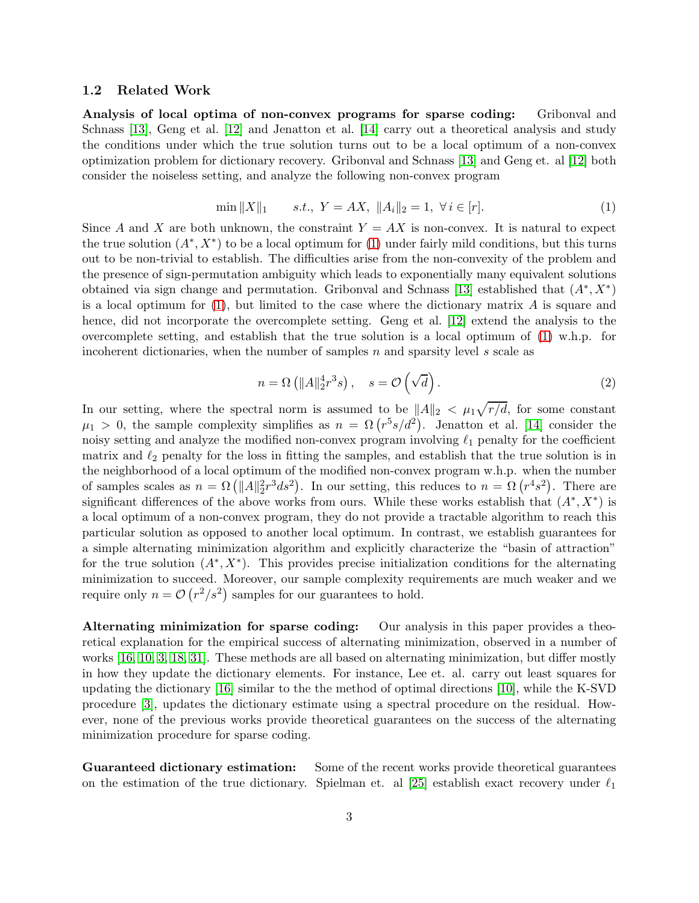### 1.2 Related Work

Analysis of local optima of non-convex programs for sparse coding: Gribonval and Schnass [\[13\]](#page-10-7), Geng et al. [\[12\]](#page-10-8) and Jenatton et al. [\[14\]](#page-10-9) carry out a theoretical analysis and study the conditions under which the true solution turns out to be a local optimum of a non-convex optimization problem for dictionary recovery. Gribonval and Schnass [\[13\]](#page-10-7) and Geng et. al [\[12\]](#page-10-8) both consider the noiseless setting, and analyze the following non-convex program

<span id="page-2-0"></span>
$$
\min \|X\|_1 \qquad s.t., \ Y = AX, \ \|A_i\|_2 = 1, \ \forall \ i \in [r]. \tag{1}
$$

Since A and X are both unknown, the constraint  $Y = AX$  is non-convex. It is natural to expect the true solution  $(A^*, X^*)$  to be a local optimum for [\(1\)](#page-2-0) under fairly mild conditions, but this turns out to be non-trivial to establish. The difficulties arise from the non-convexity of the problem and the presence of sign-permutation ambiguity which leads to exponentially many equivalent solutions obtained via sign change and permutation. Gribonval and Schnass [\[13\]](#page-10-7) established that  $(A^*, X^*)$ is a local optimum for  $(1)$ , but limited to the case where the dictionary matrix A is square and hence, did not incorporate the overcomplete setting. Geng et al. [\[12\]](#page-10-8) extend the analysis to the overcomplete setting, and establish that the true solution is a local optimum of [\(1\)](#page-2-0) w.h.p. for incoherent dictionaries, when the number of samples  $n$  and sparsity level  $s$  scale as

$$
n = \Omega\left(\|A\|_2^4 r^3 s\right), \quad s = \mathcal{O}\left(\sqrt{d}\right). \tag{2}
$$

In our setting, where the spectral norm is assumed to be  $||A||_2 < \mu_1 \sqrt{r/d}$ , for some constant  $\mu_1 > 0$ , the sample complexity simplifies as  $n = \Omega(r^5 s/d^2)$ . Jenatton et al. [\[14\]](#page-10-9) consider the noisy setting and analyze the modified non-convex program involving  $\ell_1$  penalty for the coefficient matrix and  $\ell_2$  penalty for the loss in fitting the samples, and establish that the true solution is in the neighborhood of a local optimum of the modified non-convex program w.h.p. when the number of samples scales as  $n = \Omega\left(\|A\|_2^2 r^3 ds^2\right)$ . In our setting, this reduces to  $n = \Omega\left(r^4 s^2\right)$ . There are significant differences of the above works from ours. While these works establish that  $(A^*, X^*)$  is a local optimum of a non-convex program, they do not provide a tractable algorithm to reach this particular solution as opposed to another local optimum. In contrast, we establish guarantees for a simple alternating minimization algorithm and explicitly characterize the "basin of attraction" for the true solution  $(A^*, X^*)$ . This provides precise initialization conditions for the alternating minimization to succeed. Moreover, our sample complexity requirements are much weaker and we require only  $n = \mathcal{O}(r^2/s^2)$  samples for our guarantees to hold.

Alternating minimization for sparse coding: Our analysis in this paper provides a theoretical explanation for the empirical success of alternating minimization, observed in a number of works [\[16,](#page-10-3) [10,](#page-10-4) [3,](#page-10-5) [18,](#page-11-3) [31\]](#page-11-4). These methods are all based on alternating minimization, but differ mostly in how they update the dictionary elements. For instance, Lee et. al. carry out least squares for updating the dictionary [\[16\]](#page-10-3) similar to the the method of optimal directions [\[10\]](#page-10-4), while the K-SVD procedure [\[3\]](#page-10-5), updates the dictionary estimate using a spectral procedure on the residual. However, none of the previous works provide theoretical guarantees on the success of the alternating minimization procedure for sparse coding.

Guaranteed dictionary estimation: Some of the recent works provide theoretical guarantees on the estimation of the true dictionary. Spielman et. al [\[25\]](#page-11-5) establish exact recovery under  $\ell_1$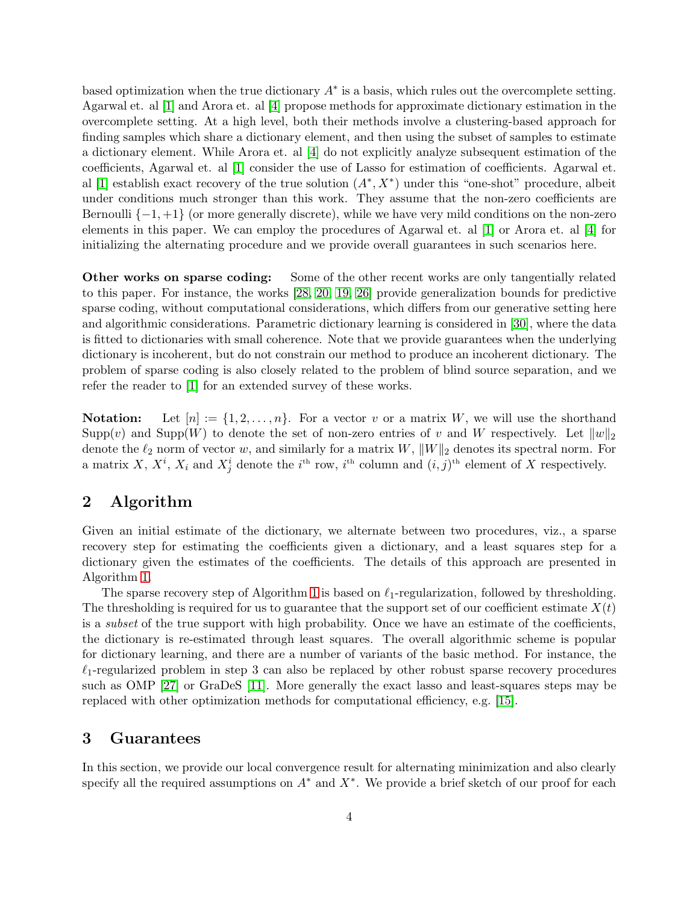based optimization when the true dictionary  $A^*$  is a basis, which rules out the overcomplete setting. Agarwal et. al [\[1\]](#page-9-0) and Arora et. al [\[4\]](#page-10-6) propose methods for approximate dictionary estimation in the overcomplete setting. At a high level, both their methods involve a clustering-based approach for finding samples which share a dictionary element, and then using the subset of samples to estimate a dictionary element. While Arora et. al [\[4\]](#page-10-6) do not explicitly analyze subsequent estimation of the coefficients, Agarwal et. al [\[1\]](#page-9-0) consider the use of Lasso for estimation of coefficients. Agarwal et. al [\[1\]](#page-9-0) establish exact recovery of the true solution  $(A^*, X^*)$  under this "one-shot" procedure, albeit under conditions much stronger than this work. They assume that the non-zero coefficients are Bernoulli  $\{-1, +1\}$  (or more generally discrete), while we have very mild conditions on the non-zero elements in this paper. We can employ the procedures of Agarwal et. al [\[1\]](#page-9-0) or Arora et. al [\[4\]](#page-10-6) for initializing the alternating procedure and we provide overall guarantees in such scenarios here.

Other works on sparse coding: Some of the other recent works are only tangentially related to this paper. For instance, the works [\[28,](#page-11-6) [20,](#page-11-7) [19,](#page-11-8) [26\]](#page-11-9) provide generalization bounds for predictive sparse coding, without computational considerations, which differs from our generative setting here and algorithmic considerations. Parametric dictionary learning is considered in [\[30\]](#page-11-10), where the data is fitted to dictionaries with small coherence. Note that we provide guarantees when the underlying dictionary is incoherent, but do not constrain our method to produce an incoherent dictionary. The problem of sparse coding is also closely related to the problem of blind source separation, and we refer the reader to [\[1\]](#page-9-0) for an extended survey of these works.

**Notation:** Let  $[n] := \{1, 2, ..., n\}$ . For a vector v or a matrix W, we will use the shorthand Supp $(v)$  and Supp $(W)$  to denote the set of non-zero entries of v and W respectively. Let  $||w||_2$ denote the  $\ell_2$  norm of vector w, and similarly for a matrix  $W$ ,  $||W||_2$  denotes its spectral norm. For a matrix X,  $X^i$ ,  $X_i$  and  $X^i_j$  denote the i<sup>th</sup> row, i<sup>th</sup> column and  $(i, j)$ <sup>th</sup> element of X respectively.

# 2 Algorithm

Given an initial estimate of the dictionary, we alternate between two procedures, viz., a sparse recovery step for estimating the coefficients given a dictionary, and a least squares step for a dictionary given the estimates of the coefficients. The details of this approach are presented in Algorithm [1.](#page-4-0)

The sparse recovery step of Algorithm [1](#page-4-0) is based on  $\ell_1$ -regularization, followed by thresholding. The thresholding is required for us to guarantee that the support set of our coefficient estimate  $X(t)$ is a *subset* of the true support with high probability. Once we have an estimate of the coefficients, the dictionary is re-estimated through least squares. The overall algorithmic scheme is popular for dictionary learning, and there are a number of variants of the basic method. For instance, the  $\ell_1$ -regularized problem in step 3 can also be replaced by other robust sparse recovery procedures such as OMP [\[27\]](#page-11-11) or GraDeS [\[11\]](#page-10-10). More generally the exact lasso and least-squares steps may be replaced with other optimization methods for computational efficiency, e.g. [\[15\]](#page-10-11).

### 3 Guarantees

In this section, we provide our local convergence result for alternating minimization and also clearly specify all the required assumptions on  $A^*$  and  $X^*$ . We provide a brief sketch of our proof for each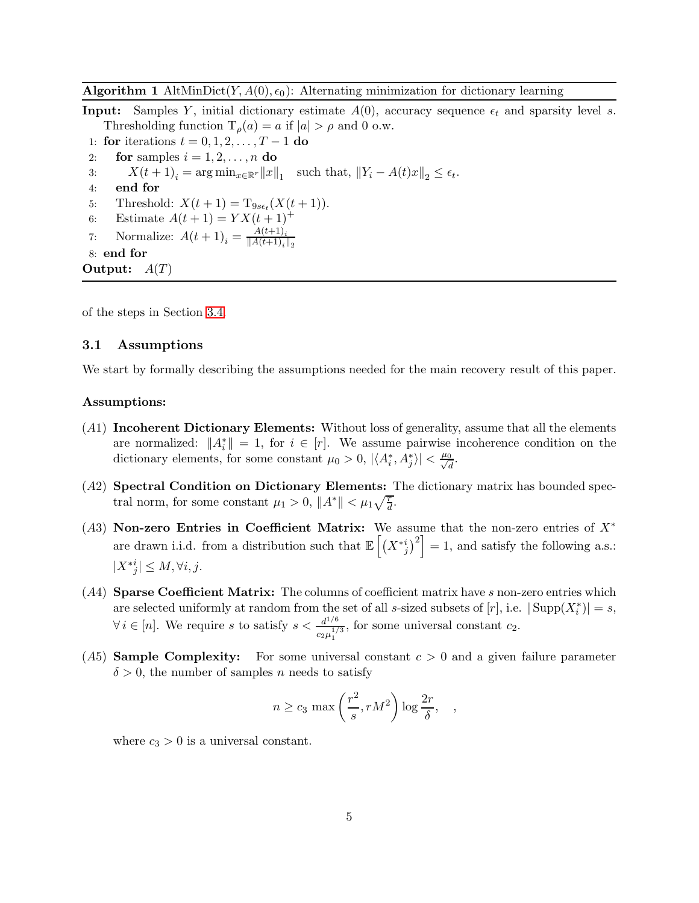### <span id="page-4-0"></span>**Algorithm 1** AltMinDict(Y,  $A(0), \epsilon_0$ ): Alternating minimization for dictionary learning

**Input:** Samples Y, initial dictionary estimate  $A(0)$ , accuracy sequence  $\epsilon_t$  and sparsity level s. Thresholding function  $T_{\rho}(a) = a$  if  $|a| > \rho$  and 0 o.w.

- 1: for iterations  $t = 0, 1, 2, \dots, T 1$  do<br>2: for samples  $i = 1, 2, \dots, n$  do
- for samples  $i = 1, 2, \ldots, n$  do
- 3:  $X(t+1)_i = \arg \min_{x \in \mathbb{R}^r} ||x||_1$  such that,  $||Y_i A(t)x||_2 \le \epsilon_t$ .
- 4: end for
- 5: Threshold:  $X(t + 1) = T_{9s\epsilon_t}(X(t + 1)).$
- 6: Estimate  $A(t + 1) = YX(t + 1)^+$
- 7: Normalize:  $A(t+1)_{i} = \frac{A(t+1)_{i}}{\|A(t+1)_{i}\|}$  $||A(t+1)_i||_2$

```
8: end for
```
Output:  $A(T)$ 

of the steps in Section [3.4.](#page-7-0)

### 3.1 Assumptions

We start by formally describing the assumptions needed for the main recovery result of this paper.

### Assumptions:

- (A1) Incoherent Dictionary Elements: Without loss of generality, assume that all the elements are normalized:  $||A_i^*|| = 1$ , for  $i \in [r]$ . We assume pairwise incoherence condition on the dictionary elements, for some constant  $\mu_0 > 0$ ,  $|\langle A_i^*, A_j^* \rangle| < \frac{\mu_0}{\sqrt{d}}$  $\frac{0}{d}$ .
- (A2) Spectral Condition on Dictionary Elements: The dictionary matrix has bounded spectral norm, for some constant  $\mu_1 > 0$ ,  $||A^*|| < \mu_1 \sqrt{\frac{r}{d}}$ .
- (A3) Non-zero Entries in Coefficient Matrix: We assume that the non-zero entries of  $X^*$ are drawn i.i.d. from a distribution such that  $\mathbb{E}\left[\left(X^{*i}_{j}\right)^{2}\right]=1$ , and satisfy the following a.s.:  $|X^*{}_{j}^i| \leq M, \forall i, j.$
- $(A4)$  Sparse Coefficient Matrix: The columns of coefficient matrix have s non-zero entries which are selected uniformly at random from the set of all s-sized subsets of  $[r]$ , i.e.  $|\text{Supp}(X_i^*)|=s$ ,  $\forall i \in [n]$ . We require s to satisfy  $s < \frac{d^{1/6}}{c_2 u^{1/6}}$  $rac{d^{2/9}}{c_2\mu_1^{1/3}}$ , for some universal constant  $c_2$ .
- (A5) **Sample Complexity:** For some universal constant  $c > 0$  and a given failure parameter  $\delta > 0$ , the number of samples *n* needs to satisfy

$$
n \ge c_3 \max\left(\frac{r^2}{s}, rM^2\right) \log \frac{2r}{\delta}, \quad ,
$$

where  $c_3 > 0$  is a universal constant.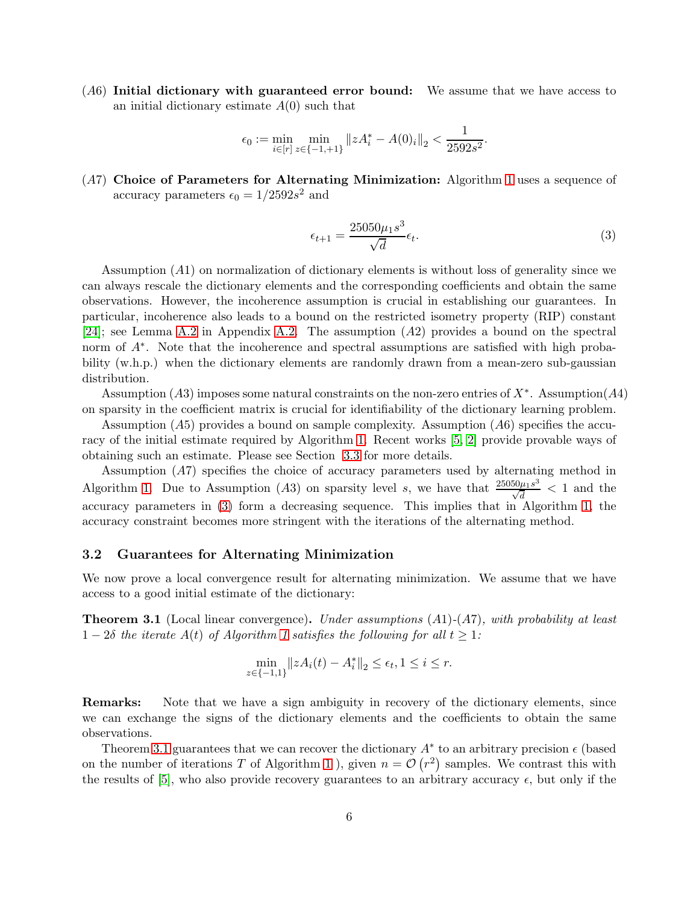(A6) Initial dictionary with guaranteed error bound: We assume that we have access to an initial dictionary estimate  $A(0)$  such that

$$
\epsilon_0 := \min_{i \in [r]} \min_{z \in \{-1, +1\}} ||z A_i^* - A(0)_i||_2 < \frac{1}{2592s^2}.
$$

(A7) Choice of Parameters for Alternating Minimization: Algorithm [1](#page-4-0) uses a sequence of accuracy parameters  $\epsilon_0 = 1/2592s^2$  and

<span id="page-5-0"></span>
$$
\epsilon_{t+1} = \frac{25050\mu_1 s^3}{\sqrt{d}} \epsilon_t.
$$
\n
$$
(3)
$$

Assumption (A1) on normalization of dictionary elements is without loss of generality since we can always rescale the dictionary elements and the corresponding coefficients and obtain the same observations. However, the incoherence assumption is crucial in establishing our guarantees. In particular, incoherence also leads to a bound on the restricted isometry property (RIP) constant [\[24\]](#page-11-12); see Lemma [A.2](#page-15-0) in Appendix [A.2.](#page-15-1) The assumption (A2) provides a bound on the spectral norm of  $A^*$ . Note that the incoherence and spectral assumptions are satisfied with high probability (w.h.p.) when the dictionary elements are randomly drawn from a mean-zero sub-gaussian distribution.

Assumption (A3) imposes some natural constraints on the non-zero entries of  $X^*$ . Assumption(A4) on sparsity in the coefficient matrix is crucial for identifiability of the dictionary learning problem.

Assumption  $(A5)$  provides a bound on sample complexity. Assumption  $(A6)$  specifies the accuracy of the initial estimate required by Algorithm [1.](#page-4-0) Recent works [\[5,](#page-10-12) [2\]](#page-10-13) provide provable ways of obtaining such an estimate. Please see Section [3.3](#page-6-0) for more details.

Assumption (A7) specifies the choice of accuracy parameters used by alternating method in Algorithm [1.](#page-4-0) Due to Assumption (A3) on sparsity level s, we have that  $\frac{25050\mu_1 s^3}{\sqrt{3}}$  $\frac{\partial u \mu_1 s^{\circ}}{\sqrt{d}}$  < 1 and the accuracy parameters in [\(3\)](#page-5-0) form a decreasing sequence. This implies that in Algorithm [1,](#page-4-0) the accuracy constraint becomes more stringent with the iterations of the alternating method.

### 3.2 Guarantees for Alternating Minimization

We now prove a local convergence result for alternating minimization. We assume that we have access to a good initial estimate of the dictionary:

<span id="page-5-1"></span>**Theorem 3.1** (Local linear convergence). Under assumptions  $(A1)-(A7)$ , with probability at least  $1-2\delta$  the iterate  $A(t)$  of Algorithm [1](#page-4-0) satisfies the following for all  $t \geq 1$ :

$$
\min_{z \in \{-1,1\}} \|zA_i(t) - A_i^*\|_2 \le \epsilon_t, 1 \le i \le r.
$$

Remarks: Note that we have a sign ambiguity in recovery of the dictionary elements, since we can exchange the signs of the dictionary elements and the coefficients to obtain the same observations.

Theorem [3.1](#page-5-1) guarantees that we can recover the dictionary  $A^*$  to an arbitrary precision  $\epsilon$  (based on the number of iterations T of Algorithm [1](#page-4-0)), given  $n = \mathcal{O}(r^2)$  samples. We contrast this with the results of [\[5\]](#page-10-12), who also provide recovery guarantees to an arbitrary accuracy  $\epsilon$ , but only if the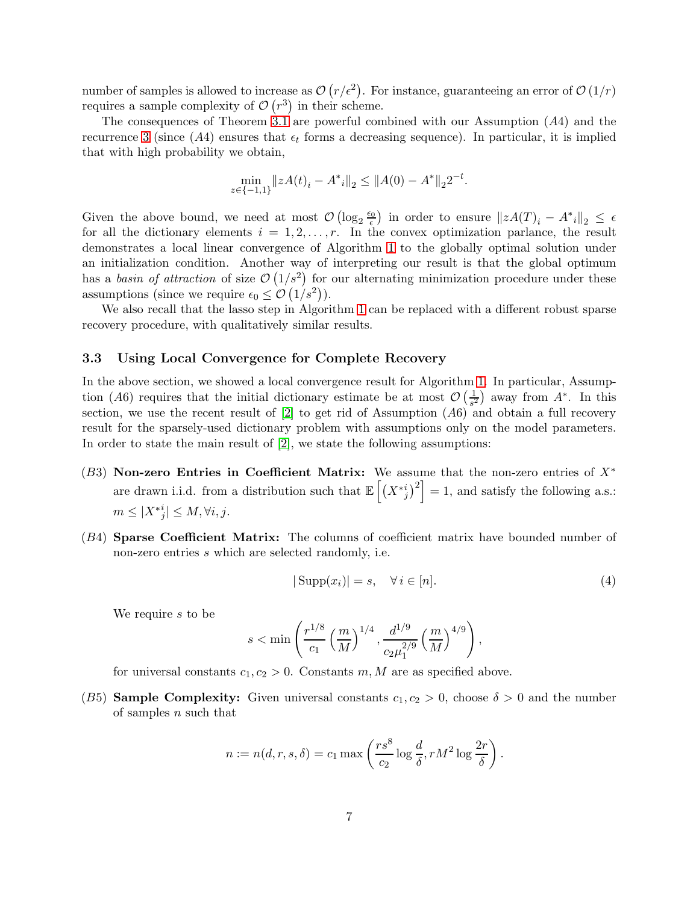number of samples is allowed to increase as  $\mathcal{O}(r/\epsilon^2)$ . For instance, guaranteeing an error of  $\mathcal{O}(1/r)$ requires a sample complexity of  $\mathcal{O}(r^3)$  in their scheme.

The consequences of Theorem [3.1](#page-5-1) are powerful combined with our Assumption  $(A4)$  and the recurrence [3](#page-5-0) (since  $(A4)$  ensures that  $\epsilon_t$  forms a decreasing sequence). In particular, it is implied that with high probability we obtain,

$$
\min_{z \in \{-1,1\}} \|zA(t)_i - A^*\|_2 \le \|A(0) - A^*\|_2 2^{-t}.
$$

Given the above bound, we need at most  $\mathcal{O}(\log_2 \frac{\epsilon_0}{\epsilon})$  $\frac{\partial}{\partial \epsilon}$  in order to ensure  $||zA(T)_i - A^*i||_2 \leq \epsilon$ for all the dictionary elements  $i = 1, 2, \ldots, r$ . In the convex optimization parlance, the result demonstrates a local linear convergence of Algorithm [1](#page-4-0) to the globally optimal solution under an initialization condition. Another way of interpreting our result is that the global optimum has a basin of attraction of size  $\mathcal{O}(1/s^2)$  for our alternating minimization procedure under these assumptions (since we require  $\epsilon_0 \leq \mathcal{O}(1/s^2)$ ).

We also recall that the lasso step in Algorithm [1](#page-4-0) can be replaced with a different robust sparse recovery procedure, with qualitatively similar results.

### <span id="page-6-0"></span>3.3 Using Local Convergence for Complete Recovery

In the above section, we showed a local convergence result for Algorithm [1.](#page-4-0) In particular, Assumption (A6) requires that the initial dictionary estimate be at most  $\mathcal{O}\left(\frac{1}{s^2}\right)$  $\frac{1}{s^2}$ ) away from  $A^*$ . In this section, we use the recent result of  $[2]$  to get rid of Assumption  $(A6)$  and obtain a full recovery result for the sparsely-used dictionary problem with assumptions only on the model parameters. In order to state the main result of [\[2\]](#page-10-13), we state the following assumptions:

- (B3) Non-zero Entries in Coefficient Matrix: We assume that the non-zero entries of  $X^*$ are drawn i.i.d. from a distribution such that  $\mathbb{E}\left[\left(X^{*i}_{j}\right)^{2}\right]=1$ , and satisfy the following a.s.:  $m \leq |X^*_{j}| \leq M, \forall i, j.$
- (B4) **Sparse Coefficient Matrix:** The columns of coefficient matrix have bounded number of non-zero entries s which are selected randomly, i.e.

$$
|\operatorname{Supp}(x_i)| = s, \quad \forall \, i \in [n]. \tag{4}
$$

We require s to be

$$
s<\min\left(\frac{r^{1/8}}{c_1}\left(\frac{m}{M}\right)^{1/4},\frac{d^{1/9}}{c_2\mu_1^{2/9}}\left(\frac{m}{M}\right)^{4/9}\right),
$$

for universal constants  $c_1, c_2 > 0$ . Constants m, M are as specified above.

(B5) **Sample Complexity:** Given universal constants  $c_1, c_2 > 0$ , choose  $\delta > 0$  and the number of samples  $n$  such that

$$
n := n(d, r, s, \delta) = c_1 \max \left( \frac{r s^8}{c_2} \log \frac{d}{\delta}, r M^2 \log \frac{2r}{\delta} \right).
$$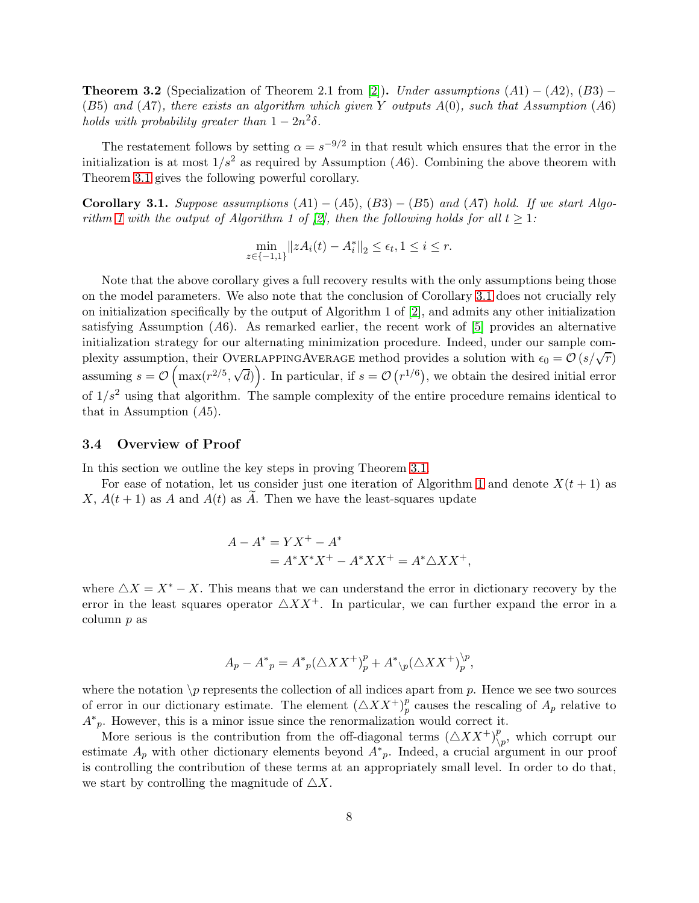**Theorem 3.2** (Specialization of Theorem 2.1 from [\[2\]](#page-10-13)). Under assumptions  $(A1) - (A2)$ ,  $(B3) (B5)$  and  $(A7)$ , there exists an algorithm which given Y outputs  $A(0)$ , such that Assumption  $(A6)$ holds with probability greater than  $1 - 2n^2\delta$ .

The restatement follows by setting  $\alpha = s^{-9/2}$  in that result which ensures that the error in the initialization is at most  $1/s^2$  as required by Assumption (A6). Combining the above theorem with Theorem [3.1](#page-5-1) gives the following powerful corollary.

<span id="page-7-1"></span>Corollary 3.1. Suppose assumptions  $(A1) - (A5), (B3) - (B5)$  and  $(A7)$  hold. If we start Algo-rithm [1](#page-4-0) with the output of Algorithm 1 of [\[2\]](#page-10-13), then the following holds for all  $t \geq 1$ :

$$
\min_{z \in \{-1,1\}} \|zA_i(t) - A_i^*\|_2 \le \epsilon_t, 1 \le i \le r.
$$

Note that the above corollary gives a full recovery results with the only assumptions being those on the model parameters. We also note that the conclusion of Corollary [3.1](#page-7-1) does not crucially rely on initialization specifically by the output of Algorithm 1 of [\[2\]](#page-10-13), and admits any other initialization satisfying Assumption  $(A6)$ . As remarked earlier, the recent work of [\[5\]](#page-10-12) provides an alternative initialization strategy for our alternating minimization procedure. Indeed, under our sample complexity assumption, their OVERLAPPINGAVERAGE method provides a solution with  $\epsilon_0 = \mathcal{O}(s/\sqrt{r})$ assuming  $s = \mathcal{O}\left(\max(r^{2/5}, \sqrt{d})\right)$ . In particular, if  $s = \mathcal{O}(r^{1/6})$ , we obtain the desired initial error of  $1/s^2$  using that algorithm. The sample complexity of the entire procedure remains identical to that in Assumption (A5).

### <span id="page-7-0"></span>3.4 Overview of Proof

In this section we outline the key steps in proving Theorem [3.1.](#page-5-1)

For ease of notation, let us consider just one iteration of Algorithm [1](#page-4-0) and denote  $X(t + 1)$  as X,  $A(t+1)$  as A and  $A(t)$  as A. Then we have the least-squares update

$$
A - A^* = YX^+ - A^*
$$
  
=  $A^*X^*X^+ - A^*XX^+ = A^*\triangle XX^+,$ 

where  $\triangle X = X^* - X$ . This means that we can understand the error in dictionary recovery by the error in the least squares operator  $\triangle XX^+$ . In particular, we can further expand the error in a column p as

$$
A_{p} - A_{p}^{*} = A_{p}^{*} (\triangle X X^{+})_{p}^{p} + A_{p}^{*} (\triangle X X^{+})_{p}^{p},
$$

where the notation  $\mathcal P$  represents the collection of all indices apart from p. Hence we see two sources of error in our dictionary estimate. The element  $(\triangle X X^+)_p^p$  $_p^p$  causes the rescaling of  $A_p$  relative to  $A^*_{p}$ . However, this is a minor issue since the renormalization would correct it.

More serious is the contribution from the off-diagonal terms  $(\triangle X X^+)_\Lambda^p$  $\bigvee^p_{p}$ , which corrupt our estimate  $A_p$  with other dictionary elements beyond  $A^*_{p}$ . Indeed, a crucial argument in our proof is controlling the contribution of these terms at an appropriately small level. In order to do that, we start by controlling the magnitude of  $\triangle X$ .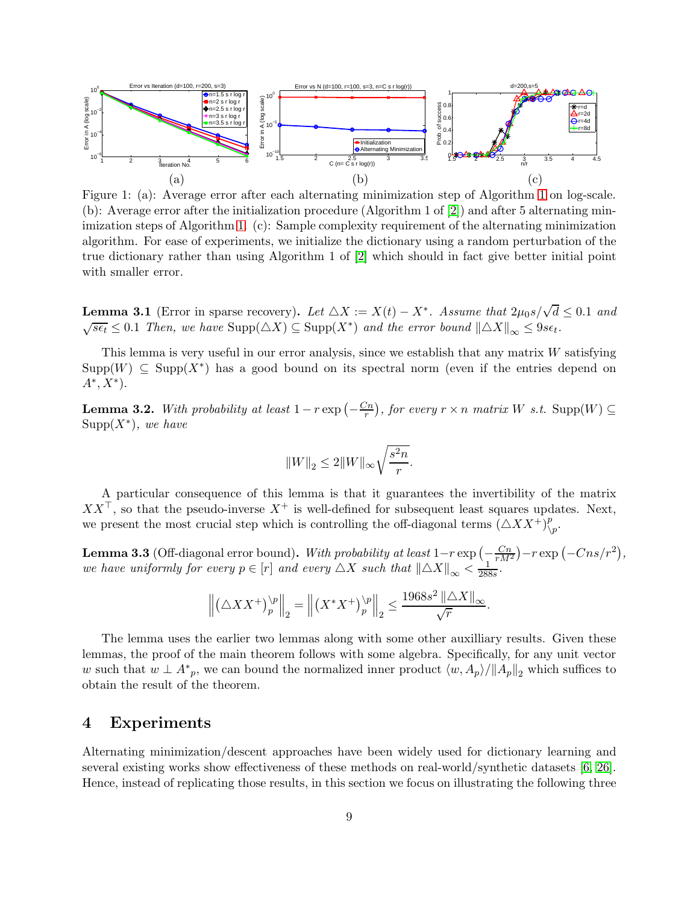<span id="page-8-0"></span>

Figure 1: (a): Average error after each alternating minimization step of Algorithm [1](#page-4-0) on log-scale. (b): Average error after the initialization procedure (Algorithm 1 of [\[2\]](#page-10-13)) and after 5 alternating minimization steps of Algorithm [1.](#page-4-0) (c): Sample complexity requirement of the alternating minimization algorithm. For ease of experiments, we initialize the dictionary using a random perturbation of the true dictionary rather than using Algorithm 1 of [\[2\]](#page-10-13) which should in fact give better initial point with smaller error.

<span id="page-8-1"></span>**Lemma 3.1** (Error in sparse recovery). Let  $\triangle X := X(t) - X^*$ . Assume that  $2\mu_0 s/\sqrt{d} \leq 0.1$  and  $\sqrt{s\epsilon_t} \leq 0.1$  Then, we have  $\text{Supp}(\triangle X) \subseteq \text{Supp}(X^*)$  and the error bound  $\|\triangle X\|_{\infty} \leq 9s\epsilon_t$ .

This lemma is very useful in our error analysis, since we establish that any matrix  $W$  satisfying  $\mathrm{Supp}(W) \subseteq \mathrm{Supp}(X^*)$  has a good bound on its spectral norm (even if the entries depend on  $A^*, X^*$ ).

<span id="page-8-2"></span>**Lemma 3.2.** With probability at least  $1 - r \exp\left(-\frac{C_n}{r}\right)$ , for every  $r \times n$  matrix W s.t.  $\text{Supp}(W) \subseteq$  $\mathrm{Supp}(X^*),$  we have

$$
\|W\|_2\leq 2\|W\|_\infty \sqrt{\frac{s^2n}{r}}.
$$

A particular consequence of this lemma is that it guarantees the invertibility of the matrix  $XX^{\top}$ , so that the pseudo-inverse  $X^+$  is well-defined for subsequent least squares updates. Next, we present the most crucial step which is controlling the off-diagonal terms  $(\triangle X X^+)^p$  $\bigvee^p p$ .

<span id="page-8-3"></span>**Lemma 3.3** (Off-diagonal error bound). With probability at least  $1-r \exp\left(-\frac{Cn}{rM^2}\right) - r \exp\left(-Cns/r^2\right)$ , we have uniformly for every  $p \in [r]$  and every  $\triangle X$  such that  $\|\triangle X\|_{\infty} < \frac{1}{288s}$ .

$$
\left\|\left(\triangle X X^+\right)^{ \backslash p }_{ p }\right\|_2=\left\|\left(X^* X^+\right)^{ \backslash p }_{ p }\right\|_2\le \frac{1968 s^2\left\|\triangle X\right\|_{ \infty }}{\sqrt{r}}.
$$

The lemma uses the earlier two lemmas along with some other auxilliary results. Given these lemmas, the proof of the main theorem follows with some algebra. Specifically, for any unit vector w such that  $w \perp A^*_{p}$ , we can bound the normalized inner product  $\langle w, A_p \rangle / ||A_p||_2$  which suffices to obtain the result of the theorem.

# 4 Experiments

Alternating minimization/descent approaches have been widely used for dictionary learning and several existing works show effectiveness of these methods on real-world/synthetic datasets [\[6,](#page-10-14) [26\]](#page-11-9). Hence, instead of replicating those results, in this section we focus on illustrating the following three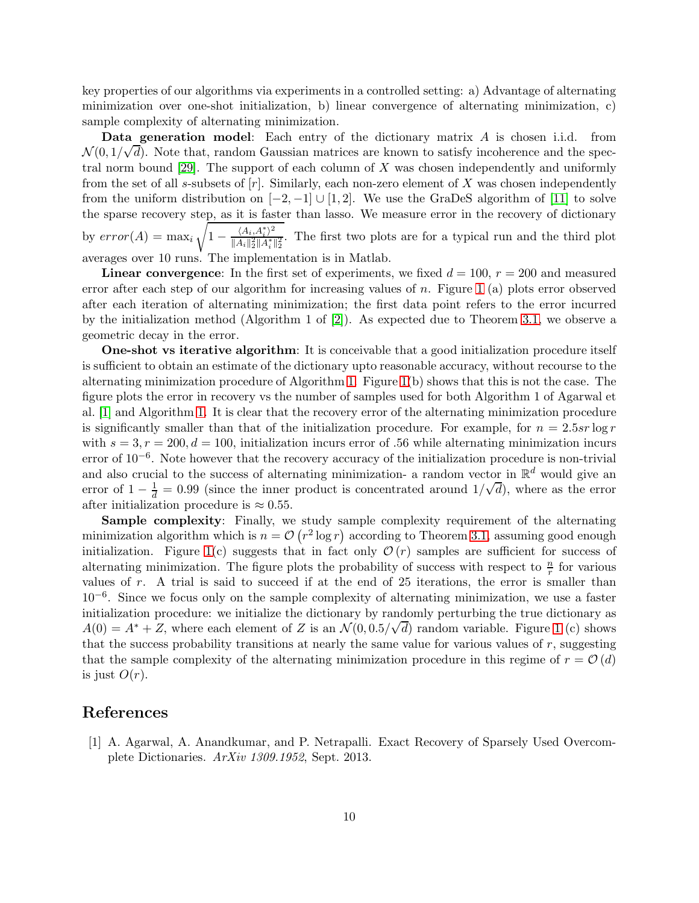key properties of our algorithms via experiments in a controlled setting: a) Advantage of alternating minimization over one-shot initialization, b) linear convergence of alternating minimization, c) sample complexity of alternating minimization.

Data generation model: Each entry of the dictionary matrix A is chosen i.i.d. from  $\mathcal{N}(0, 1/\sqrt{d})$ . Note that, random Gaussian matrices are known to satisfy incoherence and the spectral norm bound  $[29]$ . The support of each column of X was chosen independently and uniformly from the set of all s-subsets of  $[r]$ . Similarly, each non-zero element of X was chosen independently from the uniform distribution on  $[-2, -1] \cup [1, 2]$ . We use the GraDeS algorithm of [\[11\]](#page-10-10) to solve the sparse recovery step, as it is faster than lasso. We measure error in the recovery of dictionary by  $error(A) = max_i$ <sup>7</sup>  $1 - \frac{\langle A_i, A_i^* \rangle^2}{\|A_i\|_2^2 \|A_i^*|}$  $\frac{\langle A_i, A_i \rangle}{\|A_i\|_2^2 \|A_i^*\|_2^2}$ . The first two plots are for a typical run and the third plot averages over 10 runs. The implementation is in Matlab.

**Linear convergence**: In the first set of experiments, we fixed  $d = 100$ ,  $r = 200$  and measured error after each step of our algorithm for increasing values of n. Figure [1](#page-8-0) (a) plots error observed after each iteration of alternating minimization; the first data point refers to the error incurred by the initialization method (Algorithm 1 of [\[2\]](#page-10-13)). As expected due to Theorem [3.1,](#page-5-1) we observe a geometric decay in the error.

One-shot vs iterative algorithm: It is conceivable that a good initialization procedure itself is sufficient to obtain an estimate of the dictionary upto reasonable accuracy, without recourse to the alternating minimization procedure of Algorithm [1.](#page-4-0) Figure [1\(](#page-8-0)b) shows that this is not the case. The figure plots the error in recovery vs the number of samples used for both Algorithm 1 of Agarwal et al. [\[1\]](#page-9-0) and Algorithm [1.](#page-4-0) It is clear that the recovery error of the alternating minimization procedure is significantly smaller than that of the initialization procedure. For example, for  $n = 2.5sr \log r$ with  $s = 3, r = 200, d = 100$ , initialization incurs error of .56 while alternating minimization incurs error of 10<sup>-6</sup>. Note however that the recovery accuracy of the initialization procedure is non-trivial and also crucial to the success of alternating minimization- a random vector in  $\mathbb{R}^d$  would give an error of  $1 - \frac{1}{d} = 0.99$  (since the inner product is concentrated around  $1/\sqrt{d}$ ), where as the error after initialization procedure is  $\approx 0.55$ .

Sample complexity: Finally, we study sample complexity requirement of the alternating minimization algorithm which is  $n = \mathcal{O}(r^2 \log r)$  according to Theorem [3.1,](#page-5-1) assuming good enough initialization. Figure [1\(](#page-8-0)c) suggests that in fact only  $\mathcal{O}(r)$  samples are sufficient for success of alternating minimization. The figure plots the probability of success with respect to  $\frac{n}{r}$  for various values of  $r$ . A trial is said to succeed if at the end of 25 iterations, the error is smaller than 10−<sup>6</sup> . Since we focus only on the sample complexity of alternating minimization, we use a faster initialization procedure: we initialize the dictionary by randomly perturbing the true dictionary as  $A(0) = A^* + Z$ , where each element of Z is an  $\mathcal{N}(0, 0.5/\sqrt{d})$  random variable. Figure [1](#page-8-0) (c) shows that the success probability transitions at nearly the same value for various values of  $r$ , suggesting that the sample complexity of the alternating minimization procedure in this regime of  $r = \mathcal{O}(d)$ is just  $O(r)$ .

# <span id="page-9-0"></span>References

[1] A. Agarwal, A. Anandkumar, and P. Netrapalli. Exact Recovery of Sparsely Used Overcomplete Dictionaries. ArXiv 1309.1952, Sept. 2013.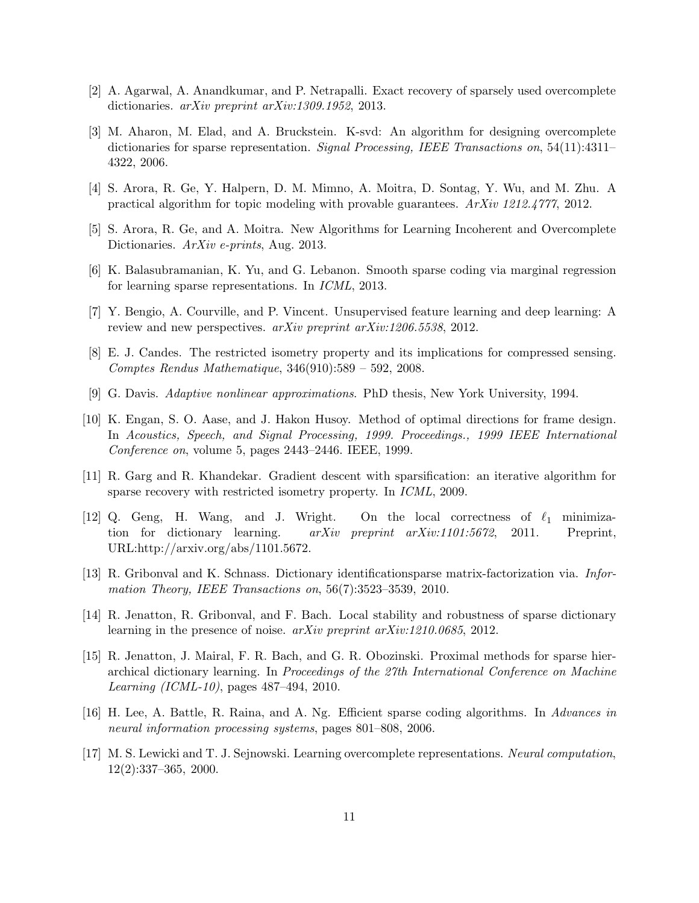- <span id="page-10-13"></span><span id="page-10-5"></span>[2] A. Agarwal, A. Anandkumar, and P. Netrapalli. Exact recovery of sparsely used overcomplete dictionaries. arXiv preprint arXiv:1309.1952, 2013.
- [3] M. Aharon, M. Elad, and A. Bruckstein. K-svd: An algorithm for designing overcomplete dictionaries for sparse representation. *Signal Processing, IEEE Transactions on*, 54(11):4311– 4322, 2006.
- <span id="page-10-12"></span><span id="page-10-6"></span>[4] S. Arora, R. Ge, Y. Halpern, D. M. Mimno, A. Moitra, D. Sontag, Y. Wu, and M. Zhu. A practical algorithm for topic modeling with provable guarantees. ArXiv 1212.4777, 2012.
- <span id="page-10-14"></span>[5] S. Arora, R. Ge, and A. Moitra. New Algorithms for Learning Incoherent and Overcomplete Dictionaries. ArXiv e-prints, Aug. 2013.
- <span id="page-10-1"></span>[6] K. Balasubramanian, K. Yu, and G. Lebanon. Smooth sparse coding via marginal regression for learning sparse representations. In ICML, 2013.
- <span id="page-10-15"></span>[7] Y. Bengio, A. Courville, and P. Vincent. Unsupervised feature learning and deep learning: A review and new perspectives. arXiv preprint arXiv:1206.5538, 2012.
- <span id="page-10-2"></span>[8] E. J. Candes. The restricted isometry property and its implications for compressed sensing. Comptes Rendus Mathematique, 346(910):589 – 592, 2008.
- <span id="page-10-4"></span>[9] G. Davis. Adaptive nonlinear approximations. PhD thesis, New York University, 1994.
- [10] K. Engan, S. O. Aase, and J. Hakon Husoy. Method of optimal directions for frame design. In Acoustics, Speech, and Signal Processing, 1999. Proceedings., 1999 IEEE International Conference on, volume 5, pages 2443–2446. IEEE, 1999.
- <span id="page-10-10"></span><span id="page-10-8"></span>[11] R. Garg and R. Khandekar. Gradient descent with sparsification: an iterative algorithm for sparse recovery with restricted isometry property. In ICML, 2009.
- [12] Q. Geng, H. Wang, and J. Wright. On the local correctness of  $\ell_1$  minimization for dictionary learning. arXiv preprint arXiv:1101:5672, 2011. Preprint, URL:http://arxiv.org/abs/1101.5672.
- <span id="page-10-7"></span>[13] R. Gribonval and K. Schnass. Dictionary identificationsparse matrix-factorization via. Information Theory, IEEE Transactions on, 56(7):3523–3539, 2010.
- <span id="page-10-11"></span><span id="page-10-9"></span>[14] R. Jenatton, R. Gribonval, and F. Bach. Local stability and robustness of sparse dictionary learning in the presence of noise. arXiv preprint arXiv:1210.0685, 2012.
- [15] R. Jenatton, J. Mairal, F. R. Bach, and G. R. Obozinski. Proximal methods for sparse hierarchical dictionary learning. In Proceedings of the 27th International Conference on Machine Learning (ICML-10), pages 487–494, 2010.
- <span id="page-10-3"></span>[16] H. Lee, A. Battle, R. Raina, and A. Ng. Efficient sparse coding algorithms. In Advances in neural information processing systems, pages 801–808, 2006.
- <span id="page-10-0"></span>[17] M. S. Lewicki and T. J. Sejnowski. Learning overcomplete representations. Neural computation, 12(2):337–365, 2000.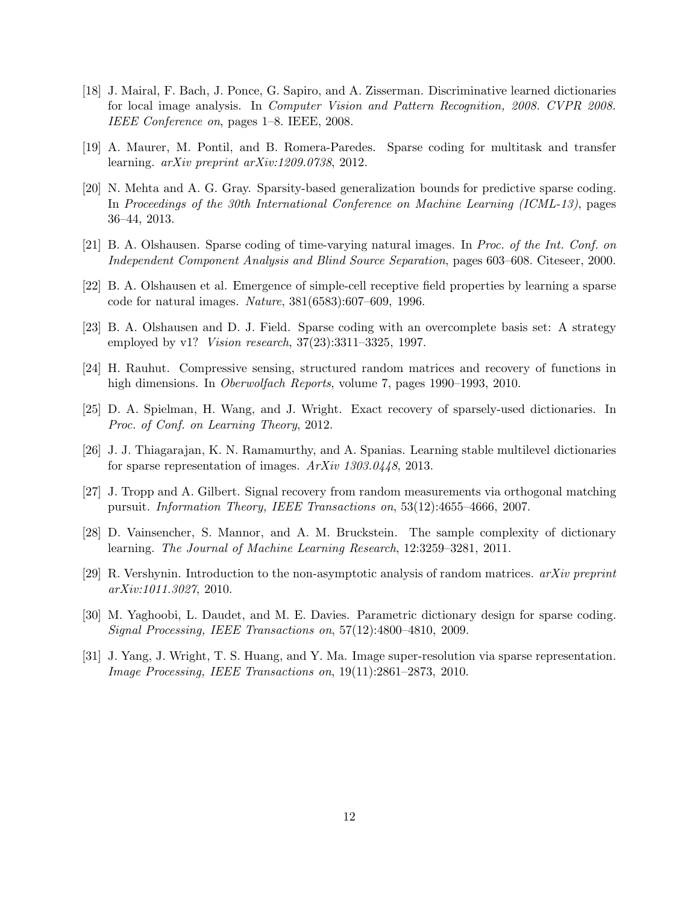- <span id="page-11-3"></span>[18] J. Mairal, F. Bach, J. Ponce, G. Sapiro, and A. Zisserman. Discriminative learned dictionaries for local image analysis. In Computer Vision and Pattern Recognition, 2008. CVPR 2008. IEEE Conference on, pages 1–8. IEEE, 2008.
- <span id="page-11-8"></span><span id="page-11-7"></span>[19] A. Maurer, M. Pontil, and B. Romera-Paredes. Sparse coding for multitask and transfer learning. arXiv preprint arXiv:1209.0738, 2012.
- [20] N. Mehta and A. G. Gray. Sparsity-based generalization bounds for predictive sparse coding. In Proceedings of the 30th International Conference on Machine Learning (ICML-13), pages 36–44, 2013.
- <span id="page-11-2"></span><span id="page-11-0"></span>[21] B. A. Olshausen. Sparse coding of time-varying natural images. In Proc. of the Int. Conf. on Independent Component Analysis and Blind Source Separation, pages 603–608. Citeseer, 2000.
- <span id="page-11-1"></span>[22] B. A. Olshausen et al. Emergence of simple-cell receptive field properties by learning a sparse code for natural images. Nature, 381(6583):607–609, 1996.
- <span id="page-11-12"></span>[23] B. A. Olshausen and D. J. Field. Sparse coding with an overcomplete basis set: A strategy employed by v1? *Vision research*, 37(23):3311-3325, 1997.
- <span id="page-11-5"></span>[24] H. Rauhut. Compressive sensing, structured random matrices and recovery of functions in high dimensions. In *Oberwolfach Reports*, volume 7, pages 1990–1993, 2010.
- <span id="page-11-9"></span>[25] D. A. Spielman, H. Wang, and J. Wright. Exact recovery of sparsely-used dictionaries. In Proc. of Conf. on Learning Theory, 2012.
- <span id="page-11-11"></span>[26] J. J. Thiagarajan, K. N. Ramamurthy, and A. Spanias. Learning stable multilevel dictionaries for sparse representation of images. ArXiv 1303.0448, 2013.
- <span id="page-11-6"></span>[27] J. Tropp and A. Gilbert. Signal recovery from random measurements via orthogonal matching pursuit. Information Theory, IEEE Transactions on, 53(12):4655–4666, 2007.
- <span id="page-11-13"></span>[28] D. Vainsencher, S. Mannor, and A. M. Bruckstein. The sample complexity of dictionary learning. The Journal of Machine Learning Research, 12:3259–3281, 2011.
- <span id="page-11-10"></span>[29] R. Vershynin. Introduction to the non-asymptotic analysis of random matrices.  $arXiv$  preprint arXiv:1011.3027, 2010.
- [30] M. Yaghoobi, L. Daudet, and M. E. Davies. Parametric dictionary design for sparse coding. Signal Processing, IEEE Transactions on, 57(12):4800–4810, 2009.
- <span id="page-11-4"></span>[31] J. Yang, J. Wright, T. S. Huang, and Y. Ma. Image super-resolution via sparse representation. Image Processing, IEEE Transactions on, 19(11):2861–2873, 2010.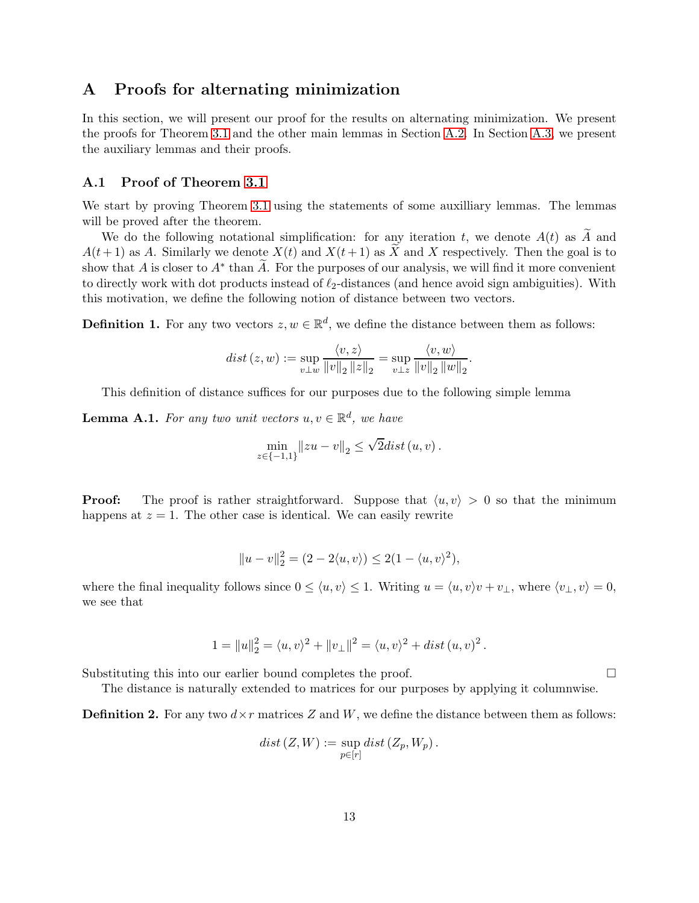# A Proofs for alternating minimization

In this section, we will present our proof for the results on alternating minimization. We present the proofs for Theorem [3.1](#page-5-1) and the other main lemmas in Section [A.2.](#page-15-1) In Section [A.3,](#page-19-0) we present the auxiliary lemmas and their proofs.

### A.1 Proof of Theorem [3.1](#page-5-1)

We start by proving Theorem [3.1](#page-5-1) using the statements of some auxilliary lemmas. The lemmas will be proved after the theorem.

We do the following notational simplification: for any iteration t, we denote  $A(t)$  as  $\widetilde{A}$  and  $A(t+1)$  as A. Similarly we denote  $X(t)$  and  $X(t+1)$  as X and X respectively. Then the goal is to show that A is closer to  $A^*$  than A. For the purposes of our analysis, we will find it more convenient to directly work with dot products instead of  $\ell_2$ -distances (and hence avoid sign ambiguities). With this motivation, we define the following notion of distance between two vectors.

**Definition 1.** For any two vectors  $z, w \in \mathbb{R}^d$ , we define the distance between them as follows:

$$
dist(z, w) := \sup_{v \perp w} \frac{\langle v, z \rangle}{\|v\|_2 \|z\|_2} = \sup_{v \perp z} \frac{\langle v, w \rangle}{\|v\|_2 \|w\|_2}.
$$

This definition of distance suffices for our purposes due to the following simple lemma

<span id="page-12-0"></span>**Lemma A.1.** For any two unit vectors  $u, v \in \mathbb{R}^d$ , we have

$$
\min_{z \in \{-1,1\}} \|zu - v\|_2 \le \sqrt{2} dist(u,v) .
$$

**Proof:** The proof is rather straightforward. Suppose that  $\langle u, v \rangle > 0$  so that the minimum happens at  $z = 1$ . The other case is identical. We can easily rewrite

$$
||u - v||_2^2 = (2 - 2\langle u, v \rangle) \le 2(1 - \langle u, v \rangle^2),
$$

where the final inequality follows since  $0 \le \langle u, v \rangle \le 1$ . Writing  $u = \langle u, v \rangle v + v_{\perp}$ , where  $\langle v_{\perp}, v \rangle = 0$ , we see that

$$
1 = ||u||_2^2 = \langle u, v \rangle^2 + ||v_\perp||^2 = \langle u, v \rangle^2 + dist(u, v)^2.
$$

Substituting this into our earlier bound completes the proof.

The distance is naturally extended to matrices for our purposes by applying it columnwise.

**Definition 2.** For any two  $d \times r$  matrices Z and W, we define the distance between them as follows:

$$
dist(Z, W) := \sup_{p \in [r]} dist(Z_p, W_p).
$$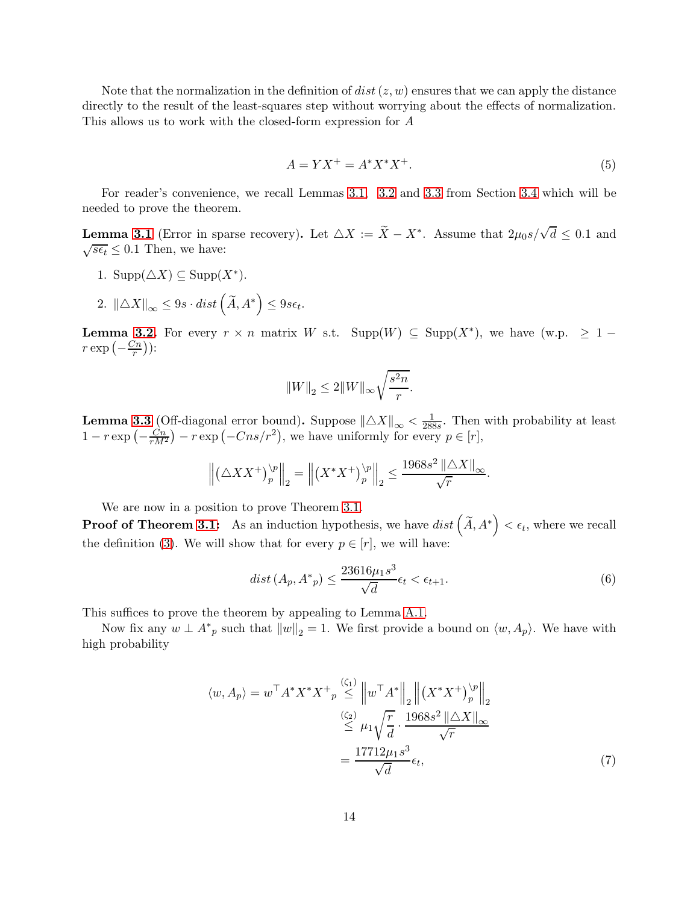Note that the normalization in the definition of  $dist(z, w)$  ensures that we can apply the distance directly to the result of the least-squares step without worrying about the effects of normalization. This allows us to work with the closed-form expression for A

$$
A = YX^{+} = A^*X^*X^{+}.
$$
\n(5)

For reader's convenience, we recall Lemmas [3.1,](#page-8-1) [3.2](#page-8-2) and [3.3](#page-8-3) from Section [3.4](#page-7-0) which will be needed to prove the theorem.

**Lemma [3.1](#page-8-1)** (Error in sparse recovery). Let  $\triangle X := \tilde{X} - X^*$ . Assume that  $2\mu_0 s / \sqrt{d} \leq 0.1$  and  $\sqrt{s\epsilon_t} \leq 0.1$  Then, we have:

- 1.  $\text{Supp}(\triangle X) \subseteq \text{Supp}(X^*)$ .
- 2.  $\|\triangle X\|_{\infty} \leq 9s \cdot dist\left(\widetilde{A}, A^*\right) \leq 9s\epsilon_t.$

**Lemma [3.2.](#page-8-2)** For every  $r \times n$  matrix W s.t. Supp $(W) \subseteq \text{Supp}(X^*)$ , we have  $(w.p. \geq 1$  $r \exp\left(-\frac{Cn}{r}\right)$  $\frac{\gamma_n}{r})$ ):

$$
\left\|W\right\|_2\leq 2\|W\|_{\infty}\sqrt{\frac{s^2n}{r}}.
$$

**Lemma [3.3](#page-8-3)** (Off-diagonal error bound). Suppose  $\|\Delta X\|_{\infty} < \frac{1}{288}$  $\frac{1}{288s}$ . Then with probability at least  $1 - r \exp\left(-\frac{C_n}{rM^2}\right) - r \exp\left(-Cns/r^2\right)$ , we have uniformly for every  $p \in [r]$ ,

$$
\left\| \left( \triangle X X^+ \right)^{\backslash p}_p \right\|_2 = \left\| \left( X^* X^+ \right)^{\backslash p}_p \right\|_2 \le \frac{1968s^2 \left\| \triangle X \right\|_\infty}{\sqrt{r}}.
$$

We are now in a position to prove Theorem [3.1.](#page-5-1)

**Proof of Theorem [3.1:](#page-5-1)** As an induction hypothesis, we have  $dist\left(\widetilde{A}, A^*\right) < \epsilon_t$ , where we recall the definition [\(3\)](#page-5-0). We will show that for every  $p \in [r]$ , we will have:

<span id="page-13-1"></span><span id="page-13-0"></span>
$$
dist(A_p, A^*_{p}) \le \frac{23616\mu_1 s^3}{\sqrt{d}} \epsilon_t < \epsilon_{t+1}.\tag{6}
$$

This suffices to prove the theorem by appealing to Lemma [A.1.](#page-12-0)

Now fix any  $w \perp A^*_{p}$  such that  $||w||_2 = 1$ . We first provide a bound on  $\langle w, A_p \rangle$ . We have with high probability

$$
\langle w, A_p \rangle = w^\top A^* X^* X^+ \underset{p}{\overset{(G_1)}{\leq}} \left\| w^\top A^* \right\|_2 \left\| \left( X^* X^+ \right)^{\backslash p}_p \right\|_2
$$
  

$$
\overset{(G_2)}{\leq} \mu_1 \sqrt{\frac{r}{d}} \cdot \frac{1968s^2 \left\| \triangle X \right\|_\infty}{\sqrt{r}}
$$
  

$$
= \frac{17712 \mu_1 s^3}{\sqrt{d}} \epsilon_t,
$$
 (7)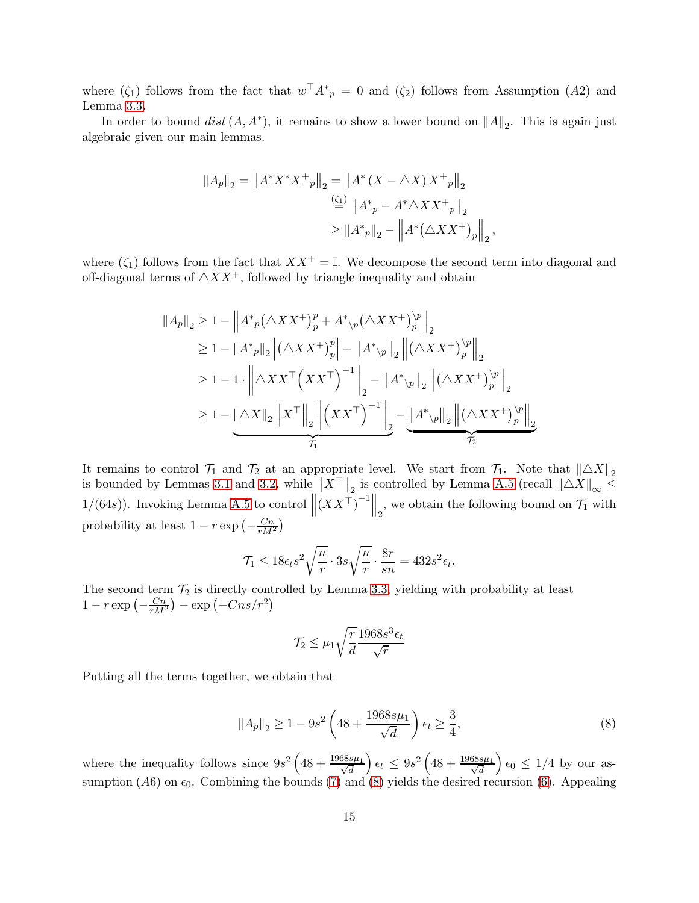where  $(\zeta_1)$  follows from the fact that  $w^T A^*_{p} = 0$  and  $(\zeta_2)$  follows from Assumption  $(A2)$  and Lemma [3.3.](#page-8-3)

In order to bound  $dist(A, A^*)$ , it remains to show a lower bound on  $||A||_2$ . This is again just algebraic given our main lemmas.

$$
||A_p||_2 = ||A^* X^* X^+ _p||_2 = ||A^* (X - \triangle X) X^+ _p||_2
$$
  

$$
\stackrel{\left(\underline{\zeta_1}\right)}{=} ||A^* _p - A^* \triangle X X^+ _p||_2
$$
  

$$
\ge ||A^* _p||_2 - ||A^* (\triangle X X^+ ) _p||_2
$$

where  $(\zeta_1)$  follows from the fact that  $XX^+ = \mathbb{I}$ . We decompose the second term into diagonal and off-diagonal terms of  $\triangle X X^{+}$ , followed by triangle inequality and obtain

,

$$
||A_p||_2 \ge 1 - \left||A^*_{p}(\triangle XX^+)_p^p + A^*_{\backslash p}(\triangle XX^+)_p^{\backslash p}\right||_2
$$
  
\n
$$
\ge 1 - ||A^*_{p}||_2 \left| (\triangle XX^+)_p^p \right| - ||A^*_{\backslash p}||_2 \left\| (\triangle XX^+)_p^{\backslash p} \right\|_2
$$
  
\n
$$
\ge 1 - 1 \cdot \left\| \triangle XX^{\top} (XX^{\top})^{-1} \right\|_2 - ||A^*_{\backslash p}||_2 \left\| (\triangle XX^+)_p^{\backslash p} \right\|_2
$$
  
\n
$$
\ge 1 - \underbrace{\left\| \triangle X \right\|_2 \left\| X^{\top} \right\|_2 \left\| (XX^{\top})^{-1} \right\|_2}_{\mathcal{T}_1} - \underbrace{\left\| A^*_{\backslash p} \right\|_2 \left\| (\triangle XX^+)_p^{\backslash p} \right\|_2}_{\mathcal{T}_2}
$$

It remains to control  $\mathcal{T}_1$  and  $\mathcal{T}_2$  at an appropriate level. We start from  $\mathcal{T}_1$ . Note that  $\|\Delta X\|_2$ is bounded by Lemmas [3.1](#page-8-1) and [3.2,](#page-8-2) while  $\|\overline{X}^{\top}\|_2$  is controlled by Lemma [A.5](#page-20-0) (recall  $\|\Delta \overline{X}\|_{\infty} \leq$ 1/(64s)). Invoking Lemma [A.5](#page-20-0) to control  $\left\| \left( \boldsymbol{X} \boldsymbol{X}^{\top} \right)^{-1} \right\|_2$ , we obtain the following bound on  $\mathcal{T}_1$  with probability at least  $1 - r \exp \left(-\frac{Cn}{rM^2}\right)$ 

$$
\mathcal{T}_1 \le 18\epsilon_t s^2 \sqrt{\frac{n}{r}} \cdot 3s \sqrt{\frac{n}{r}} \cdot \frac{8r}{sn} = 432s^2 \epsilon_t.
$$

The second term  $\mathcal{T}_2$  is directly controlled by Lemma [3.3,](#page-8-3) yielding with probability at least  $1 - r \exp\left(-\frac{C_n}{rM^2}\right) - \exp\left(-Cns/r^2\right)$ 

<span id="page-14-0"></span>
$$
\mathcal{T}_2 \le \mu_1 \sqrt{\frac{r}{d}} \frac{1968s^3 \epsilon_t}{\sqrt{r}}
$$

Putting all the terms together, we obtain that

$$
||A_p||_2 \ge 1 - 9s^2 \left(48 + \frac{1968s\mu_1}{\sqrt{d}}\right) \epsilon_t \ge \frac{3}{4},\tag{8}
$$

where the inequality follows since  $9s^2\left(48+\frac{1968s\mu_1}{\sqrt{3}}\right)$ d  $\int \epsilon_t \, \leq \, 9s^2 \left( 48 + \frac{1968 s \mu_1}{\sqrt{d}} \right)$ d  $\Big) \epsilon_0 \leq 1/4$  by our assumption (A6) on  $\epsilon_0$ . Combining the bounds [\(7\)](#page-13-0) and [\(8\)](#page-14-0) yields the desired recursion [\(6\)](#page-13-1). Appealing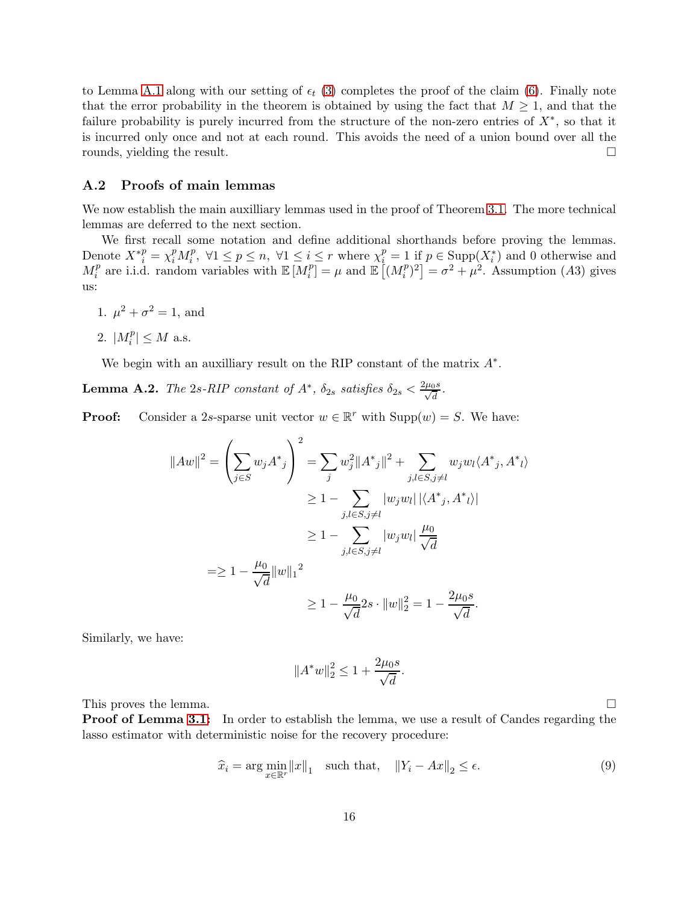to Lemma [A.1](#page-12-0) along with our setting of  $\epsilon_t$  [\(3\)](#page-5-0) completes the proof of the claim [\(6\)](#page-13-1). Finally note that the error probability in the theorem is obtained by using the fact that  $M \geq 1$ , and that the failure probability is purely incurred from the structure of the non-zero entries of  $X^*$ , so that it is incurred only once and not at each round. This avoids the need of a union bound over all the rounds, yielding the result.

### <span id="page-15-1"></span>A.2 Proofs of main lemmas

We now establish the main auxilliary lemmas used in the proof of Theorem [3.1.](#page-5-1) The more technical lemmas are deferred to the next section.

We first recall some notation and define additional shorthands before proving the lemmas. Denote  $X^{*p} = \chi_i^p M_i^p$ ,  $\forall 1 \leq p \leq n$ ,  $\forall 1 \leq i \leq r$  where  $\chi_i^p = 1$  if  $p \in \text{Supp}(X_i^*)$  and 0 otherwise and  $M_i^p$  $i$ <sup>*p*</sup> are i.i.d. random variables with  $\mathbb{E}[M_i^p]$  $\binom{p}{i} = \mu$  and  $\mathbb{E}\left[\left(M_i^p\right)$  $\begin{bmatrix} {p \choose i}^2 \end{bmatrix} = \sigma^2 + \mu^2$ . Assumption (A3) gives us:

- 1.  $\mu^2 + \sigma^2 = 1$ , and
- 2.  $|M_i^p| \leq M$  a.s.

We begin with an auxilliary result on the RIP constant of the matrix  $A^*$ .

<span id="page-15-0"></span>**Lemma A.2.** The 2s-RIP constant of  $A^*$ ,  $\delta_{2s}$  satisfies  $\delta_{2s} < \frac{2\mu_0 s}{\sqrt{d}}$ .

**Proof:** Consider a 2s-sparse unit vector  $w \in \mathbb{R}^r$  with  $\text{Supp}(w) = S$ . We have:

$$
||Aw||2 = \left(\sum_{j\in S} w_j A^*_{j}\right)^{2} = \sum_{j} w_{j}^{2} ||A^*_{j}||^{2} + \sum_{j,l\in S,j\neq l} w_{j} w_{l} \langle A^*_{j}, A^*_{l} \rangle
$$
  
\n
$$
\geq 1 - \sum_{j,l\in S,j\neq l} |w_{j} w_{l}| |\langle A^*_{j}, A^*_{l} \rangle|
$$
  
\n
$$
\geq 1 - \sum_{j,l\in S,j\neq l} |w_{j} w_{l}| \frac{\mu_{0}}{\sqrt{d}}
$$
  
\n
$$
= \geq 1 - \frac{\mu_{0}}{\sqrt{d}} ||w||_{1}^{2}
$$
  
\n
$$
\geq 1 - \frac{\mu_{0}}{\sqrt{d}} 2s \cdot ||w||_{2}^{2} = 1 - \frac{2\mu_{0}s}{\sqrt{d}}.
$$

Similarly, we have:

$$
||A^*w||_2^2 \le 1 + \frac{2\mu_0 s}{\sqrt{d}}.
$$

This proves the lemma.

**Proof of Lemma [3.1:](#page-8-1)** In order to establish the lemma, we use a result of Candes regarding the lasso estimator with deterministic noise for the recovery procedure:

<span id="page-15-2"></span>
$$
\widehat{x}_i = \arg\min_{x \in \mathbb{R}^r} ||x||_1 \quad \text{such that,} \quad ||Y_i - Ax||_2 \le \epsilon. \tag{9}
$$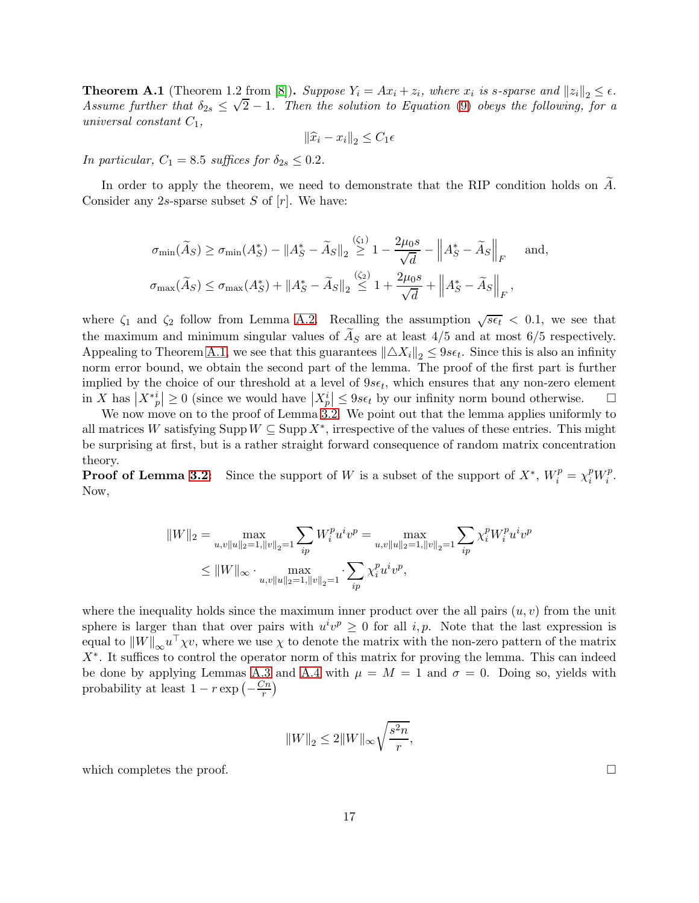<span id="page-16-0"></span>**Theorem A.1** (Theorem 1.2 from [\[8\]](#page-10-15)). Suppose  $Y_i = Ax_i + z_i$ , where  $x_i$  is s-sparse and  $||z_i||_2 \le \epsilon$ . Assume further that  $\delta_{2s} \leq \sqrt{2}-1$ . Then the solution to Equation [\(9\)](#page-15-2) obeys the following, for a universal constant  $C_1$ ,

$$
\|\widehat{x}_i - x_i\|_2 \le C_1 \epsilon
$$

In particular,  $C_1 = 8.5$  suffices for  $\delta_{2s} \leq 0.2$ .

In order to apply the theorem, we need to demonstrate that the RIP condition holds on  $\widetilde{A}$ . Consider any 2s-sparse subset  $S$  of  $[r]$ . We have:

$$
\sigma_{\min}(\widetilde{A}_S) \ge \sigma_{\min}(A_S^*) - \|A_S^* - \widetilde{A}_S\|_2 \stackrel{(\zeta_1)}{\ge} 1 - \frac{2\mu_0 s}{\sqrt{d}} - \|A_S^* - \widetilde{A}_S\|_F \quad \text{and},
$$
  

$$
\sigma_{\max}(\widetilde{A}_S) \le \sigma_{\max}(A_S^*) + \|A_S^* - \widetilde{A}_S\|_2 \le 1 + \frac{2\mu_0 s}{\sqrt{d}} + \|A_S^* - \widetilde{A}_S\|_F,
$$

where  $\zeta_1$  and  $\zeta_2$  follow from Lemma [A.2.](#page-15-0) Recalling the assumption  $\sqrt{s\epsilon_t} < 0.1$ , we see that the maximum and minimum singular values of  $A<sub>S</sub>$  are at least 4/5 and at most 6/5 respectively. Appealing to Theorem [A.1,](#page-16-0) we see that this guarantees  $\|\triangle X_i\|_2 \leq 9s\epsilon_t$ . Since this is also an infinity norm error bound, we obtain the second part of the lemma. The proof of the first part is further implied by the choice of our threshold at a level of  $9s\epsilon_t$ , which ensures that any non-zero element in X has  $|X^*_{p}| \geq 0$  (since we would have  $|X^i_{p}| \leq 9s\epsilon_t$  by our infinity norm bound otherwise.  $\Box$ 

We now move on to the proof of Lemma [3.2.](#page-8-2) We point out that the lemma applies uniformly to all matrices W satisfying  $\text{Supp } W \subseteq \text{Supp } X^*$ , irrespective of the values of these entries. This might be surprising at first, but is a rather straight forward consequence of random matrix concentration theory.

**Proof of Lemma [3.2:](#page-8-2)** Since the support of W is a subset of the support of  $X^*$ ,  $W_i^p = \chi_i^p W_i^p$  $\frac{p}{i}$ . Now,

$$
||W||_2 = \max_{u,v||u||_2=1, ||v||_2=1} \sum_{ip} W_i^p u^i v^p = \max_{u,v||u||_2=1, ||v||_2=1} \sum_{ip} \chi_i^p W_i^p u^i v^p
$$
  
\n
$$
\leq ||W||_{\infty} \cdot \max_{u,v||u||_2=1, ||v||_2=1} \cdot \sum_{ip} \chi_i^p u^i v^p,
$$

where the inequality holds since the maximum inner product over the all pairs  $(u, v)$  from the unit sphere is larger than that over pairs with  $u^i v^p \geq 0$  for all i, p. Note that the last expression is equal to  $||W||_{\infty}u^{\perp} \chi v$ , where we use  $\chi$  to denote the matrix with the non-zero pattern of the matrix X∗ . It suffices to control the operator norm of this matrix for proving the lemma. This can indeed be done by applying Lemmas [A.3](#page-19-1) and [A.4](#page-20-1) with  $\mu = M = 1$  and  $\sigma = 0$ . Doing so, yields with probability at least  $1 - r \exp\left(-\frac{Cn}{r}\right)$  $\frac{7n}{r}$ 

$$
||W||_2 \le 2||W||_{\infty} \sqrt{\frac{s^2n}{r}},
$$

which completes the proof.  $\Box$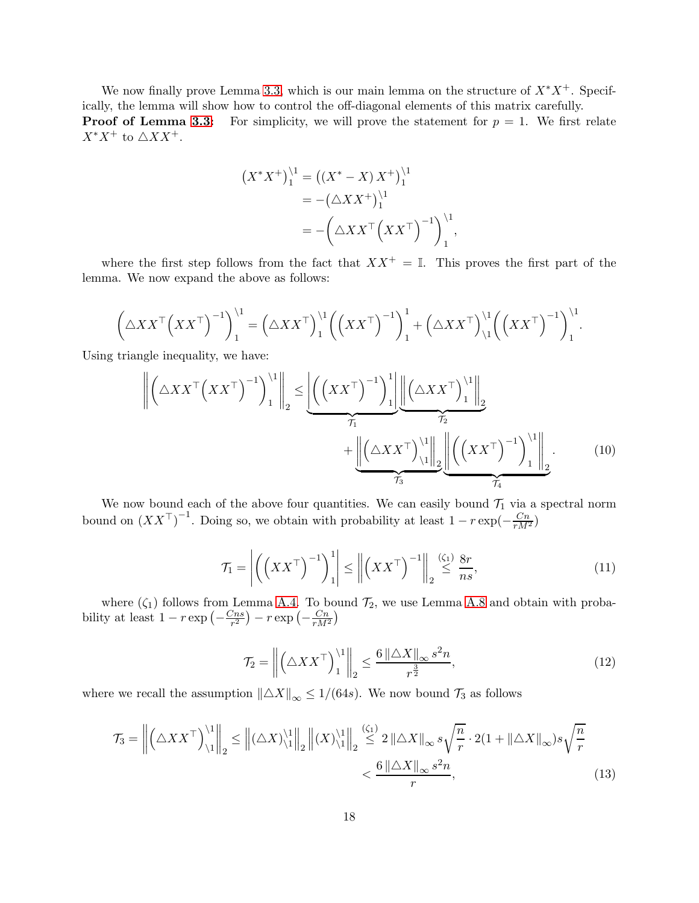We now finally prove Lemma [3.3,](#page-8-3) which is our main lemma on the structure of  $X^*X^+$ . Specifically, the lemma will show how to control the off-diagonal elements of this matrix carefully. **Proof of Lemma [3.3:](#page-8-3)** For simplicity, we will prove the statement for  $p = 1$ . We first relate  $X^*X^+$  to  $\triangle X X^+.$ 

$$
(X^*X^+)^{1}_{1} = ((X^* - X) X^+)^{1}_{1}
$$
  
= -(\triangle X X^+)^{1}\_{1}  
= -(\triangle X X^{\top} (XX^{\top})^{-1})^{1}\_{1},

where the first step follows from the fact that  $XX^+ = \mathbb{I}$ . This proves the first part of the lemma. We now expand the above as follows:

$$
\left(\triangle XX^{\top}\left(XX^{\top}\right)^{-1}\right)_{1}^{1} = \left(\triangle XX^{\top}\right)_{1}^{1}\left(\left(XX^{\top}\right)^{-1}\right)_{1}^{1} + \left(\triangle XX^{\top}\right)_{1}^{1}\left(\left(XX^{\top}\right)^{-1}\right)_{1}^{1}
$$

Using triangle inequality, we have:

$$
\left\| \left( \triangle X X^{\top} \left( X X^{\top} \right)^{-1} \right)_{1}^{1} \right\|_{2} \leq \underbrace{\left| \left( \left( X X^{\top} \right)^{-1} \right)_{1}^{1} \right| \left| \left( \triangle X X^{\top} \right)_{1}^{1} \right|_{2}}_{\mathcal{T}_{1}} + \underbrace{\left\| \left( \triangle X X^{\top} \right)_{1}^{1} \right\|_{2}}_{\mathcal{T}_{3}} \underbrace{\left\| \left( \left( X X^{\top} \right)^{-1} \right)_{1}^{1} \right\|_{2}}_{\mathcal{T}_{4}}.
$$
\n(10)

We now bound each of the above four quantities. We can easily bound  $\mathcal{T}_1$  via a spectral norm bound on  $(XX^{\top})^{-1}$ . Doing so, we obtain with probability at least  $1 - r \exp(-\frac{Cn}{rM^2})$ 

$$
\mathcal{T}_1 = \left| \left( \left( X X^\top \right)^{-1} \right)_1^1 \right| \le \left\| \left( X X^\top \right)^{-1} \right\|_2 \stackrel{(\zeta_1)}{\le} \frac{8r}{ns},\tag{11}
$$

<span id="page-17-1"></span><span id="page-17-0"></span>.

where  $(\zeta_1)$  follows from Lemma [A.4.](#page-20-1) To bound  $\mathcal{T}_2$ , we use Lemma [A.8](#page-21-0) and obtain with probability at least  $1 - r \exp \left(-\frac{Cns}{r^2}\right)$  $\frac{C_{ns}}{r^2}$ ) –  $r \exp\left(-\frac{C_n}{rM^2}\right)$ 

<span id="page-17-2"></span>
$$
\mathcal{T}_2 = \left\| \left( \triangle X X^\top \right)_1^{1} \right\|_2 \le \frac{6 \left\| \triangle X \right\|_\infty s^2 n}{r^{\frac{3}{2}}},\tag{12}
$$

where we recall the assumption  $\|\Delta X\|_{\infty} \leq 1/(64s)$ . We now bound  $\mathcal{T}_3$  as follows

$$
\mathcal{T}_3 = \left\| \left( \triangle X X^\top \right)_{1}^{11} \right\|_2 \le \left\| (\triangle X)_{11}^{11} \right\|_2 \left\| (X)_{11}^{11} \right\|_2 \stackrel{\text{(G1)}}{\le} 2 \left\| \triangle X \right\|_{\infty} s \sqrt{\frac{n}{r}} \cdot 2(1 + \|\triangle X\|_{\infty}) s \sqrt{\frac{n}{r}} \cdot 2 \left( \frac{2}{r} \right) \left( \frac{2}{r} \right)^{1/2} \left( \frac{2}{r} \right)^{1/2} \left( \frac{2}{r} \right)^{1/2} \left( \frac{2}{r} \right)^{1/2} \left( \frac{2}{r} \right)^{1/2} \left( \frac{2}{r} \right)^{1/2} \left( \frac{2}{r} \right)^{1/2} \left( \frac{2}{r} \right)^{1/2} \left( \frac{2}{r} \right)^{1/2} \left( \frac{2}{r} \right)^{1/2} \left( \frac{2}{r} \right)^{1/2} \left( \frac{2}{r} \right)^{1/2} \left( \frac{2}{r} \right)^{1/2} \left( \frac{2}{r} \right)^{1/2} \left( \frac{2}{r} \right)^{1/2} \left( \frac{2}{r} \right)^{1/2} \left( \frac{2}{r} \right)^{1/2} \left( \frac{2}{r} \right)^{1/2} \left( \frac{2}{r} \right)^{1/2} \left( \frac{2}{r} \right)^{1/2} \left( \frac{2}{r} \right)^{1/2} \left( \frac{2}{r} \right)^{1/2} \left( \frac{2}{r} \right)^{1/2} \left( \frac{2}{r} \right)^{1/2} \left( \frac{2}{r} \right)^{1/2} \left( \frac{2}{r} \right)^{1/2} \left( \frac{2}{r} \right)^{1/2} \left( \frac{2}{r} \right)^{1/2} \left( \frac{2}{r} \right)^{1/2} \left( \frac{2}{r} \right)^{1/2} \left( \frac{2}{r} \right)^{1/2} \left( \frac{2}{r} \right)^{1/2} \left( \frac{2}{r} \right)^{1/2} \left
$$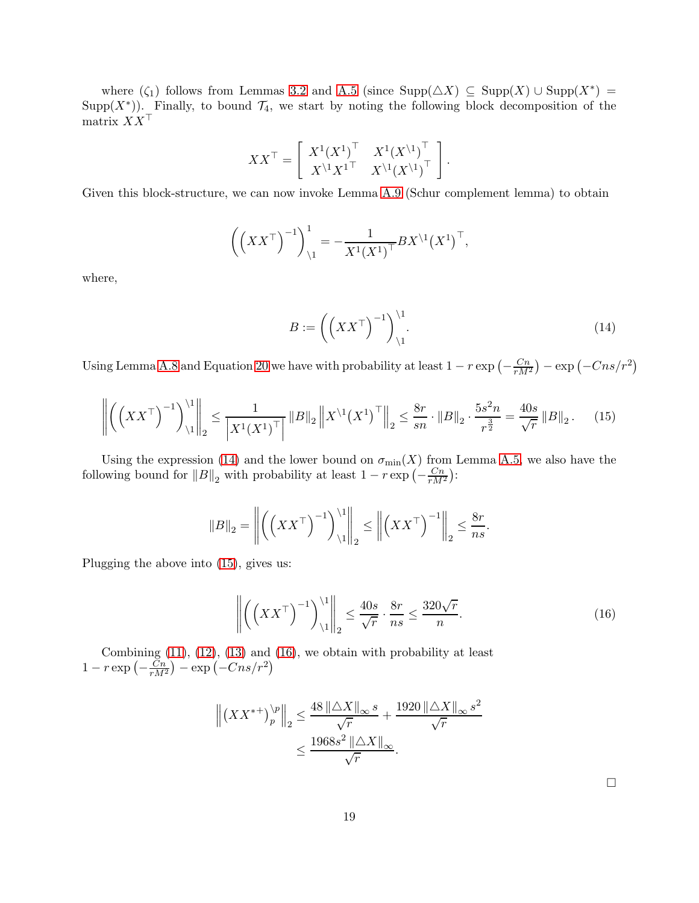where  $(\zeta_1)$  follows from Lemmas [3.2](#page-8-2) and [A.5](#page-20-0) (since  $\text{Supp}(\triangle X) \subseteq \text{Supp}(X) \cup \text{Supp}(X^*) =$ Supp $(X^*)$ ). Finally, to bound  $\mathcal{T}_4$ , we start by noting the following block decomposition of the matrix  $XX^{\top}$ 

$$
XX^{\top} = \left[ \begin{array}{cc} X^{1} (X^{1})^{\top} & X^{1} (X^{1})^{\top} \\ X^{1} X^{1}^{\top} & X^{1} (X^{1})^{\top} \end{array} \right].
$$

Given this block-structure, we can now invoke Lemma [A.9](#page-23-0) (Schur complement lemma) to obtain

$$
\left( \left( X X^{\top} \right)^{-1} \right)_{\backslash 1}^{1} = -\frac{1}{X^{1} (X^{1})^{\top}} B X^{\backslash 1} (X^{1})^{\top},
$$

where,

<span id="page-18-1"></span><span id="page-18-0"></span>
$$
B := \left( \left( X X^{\top} \right)^{-1} \right)_{\backslash 1}^{\backslash 1} . \tag{14}
$$

Using Lemma [A.8](#page-21-0) and Equation [20](#page-21-1) we have with probability at least  $1 - r \exp\left(-\frac{Cn}{rM^2}\right) - \exp\left(-Cns/r^2\right)$ 

$$
\left\| \left( \left( XX^{\top} \right)^{-1} \right)_{1}^{1} \right\|_{2} \le \frac{1}{\left| X^{1} (X^{1})^{\top} \right|} \|B\|_{2} \left\| X^{1} (X^{1})^{\top} \right\|_{2} \le \frac{8r}{sn} \cdot \|B\|_{2} \cdot \frac{5s^{2}n}{r^{\frac{3}{2}}} = \frac{40s}{\sqrt{r}} \|B\|_{2}. \tag{15}
$$

Using the expression [\(14\)](#page-18-0) and the lower bound on  $\sigma_{\min}(X)$  from Lemma [A.5,](#page-20-0) we also have the following bound for  $||B||_2$  with probability at least  $1 - r \exp\left(-\frac{Cn}{rM^2}\right)$ :

$$
||B||_2 = \left\| \left( \left( XX^\top \right)^{-1} \right)_{\backslash 1}^{\backslash 1} \right\|_2 \le \left\| \left( XX^\top \right)^{-1} \right\|_2 \le \frac{8r}{ns}.
$$

Plugging the above into [\(15\)](#page-18-1), gives us:

$$
\left\| \left( \left( XX^\top \right)^{-1} \right)_{1}^{1} \right\|_2 \le \frac{40s}{\sqrt{r}} \cdot \frac{8r}{ns} \le \frac{320\sqrt{r}}{n}.\tag{16}
$$

Combining  $(11)$ ,  $(12)$ ,  $(13)$  and  $(16)$ , we obtain with probability at least  $1 - r \exp\left(-\frac{Cn}{rM^2}\right) - \exp\left(-Cns/r^2\right)$ 

$$
\left\| \left( X X^{*+} \right)^{\backslash p}_{p} \right\|_{2} \leq \frac{48 \left\| \triangle X \right\|_{\infty} s}{\sqrt{r}} + \frac{1920 \left\| \triangle X \right\|_{\infty} s^{2}}{\sqrt{r}} \leq \frac{1968 s^{2} \left\| \triangle X \right\|_{\infty}}{\sqrt{r}}.
$$

<span id="page-18-2"></span> $\Box$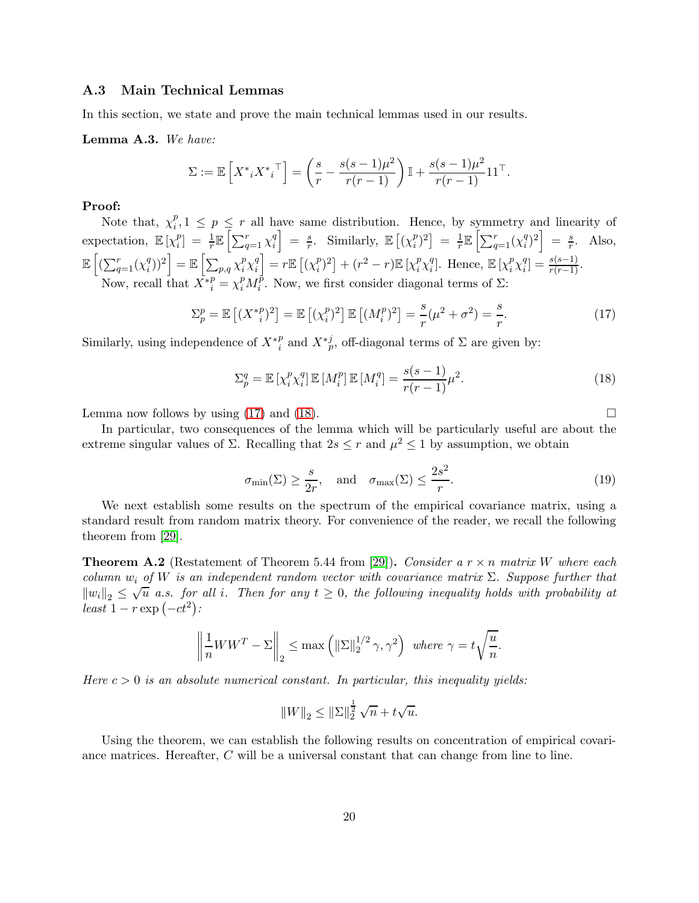### <span id="page-19-0"></span>A.3 Main Technical Lemmas

In this section, we state and prove the main technical lemmas used in our results.

#### <span id="page-19-1"></span>Lemma A.3. We have:

$$
\Sigma := \mathbb{E}\left[X^* {i} X^* {i}^\top\right] = \left(\frac{s}{r} - \frac{s(s-1)\mu^2}{r(r-1)}\right) \mathbb{I} + \frac{s(s-1)\mu^2}{r(r-1)} 11^\top.
$$

### Proof:

Note that,  $\chi_i^p$  $i, 1 \leq p \leq r$  all have same distribution. Hence, by symmetry and linearity of expectation,  $\mathbb{E}\left[\chi_i^p\right]$  $\mathcal{L}_i^p$  =  $\frac{1}{r} \mathbb{E} \left[ \sum_{q=1}^r \chi_i^q \right]$ i  $\Big] = \frac{s}{r}$  $\frac{s}{r}$ . Similarly,  $\mathbb{E}[(\chi_i^p)]$  $\binom{p}{i}^2 = \frac{1}{r}$  $\frac{1}{r}\mathbb{E}\left[\sum_{q=1}^r (\chi_i^q)$  $\binom{q}{i}^2 = \frac{s}{r}$  $\frac{s}{r}$ . Also,  $\mathbb{E}\left[\left(\sum_{q=1}^r (\chi_i^q\right)\right]$  $\left[ \sum_{p,q} \chi_i^p \chi_i^q \right] = \mathbb{E} \left[ \sum_{p,q} \chi_i^p \chi_i^q \right]$ i  $= r \mathbb{E} \left[ (\chi_i^p) \right]$  $\binom{p}{i}^2 + (r^2 - r) \mathbb{E} \left[ \chi_i^p \chi_i^q \right]$ <sup>q</sup>]. Hence,  $\mathbb{E} \left[ \chi_i^p \chi_i^q \right]$  $\binom{q}{i} = \frac{s(s-1)}{r(r-1)}$ . Now, recall that  $\overline{X}^*_{i}^p = \chi_i^p M_i^p$ <sup>*p*</sup>. Now, we first consider diagonal terms of  $\Sigma$ :

<span id="page-19-2"></span>
$$
\Sigma_p^p = \mathbb{E}\left[ (X^*_{i}^p)^2 \right] = \mathbb{E}\left[ (\chi_i^p)^2 \right] \mathbb{E}\left[ (M_i^p)^2 \right] = \frac{s}{r} (\mu^2 + \sigma^2) = \frac{s}{r}.
$$
 (17)

Similarly, using independence of  $X^*_{i}^p$  and  $X^*_{p}^j$ , off-diagonal terms of  $\Sigma$  are given by:

<span id="page-19-3"></span>
$$
\Sigma_p^q = \mathbb{E}\left[\chi_i^p \chi_i^q\right] \mathbb{E}\left[M_i^p\right] \mathbb{E}\left[M_i^q\right] = \frac{s(s-1)}{r(r-1)}\mu^2.
$$
\n(18)

Lemma now follows by using  $(17)$  and  $(18)$ .

In particular, two consequences of the lemma which will be particularly useful are about the extreme singular values of  $\Sigma$ . Recalling that  $2s \leq r$  and  $\mu^2 \leq 1$  by assumption, we obtain

$$
\sigma_{\min}(\Sigma) \ge \frac{s}{2r}, \text{ and } \sigma_{\max}(\Sigma) \le \frac{2s^2}{r}.
$$
\n(19)

We next establish some results on the spectrum of the empirical covariance matrix, using a standard result from random matrix theory. For convenience of the reader, we recall the following theorem from [\[29\]](#page-11-13).

<span id="page-19-4"></span>**Theorem A.2** (Restatement of Theorem 5.44 from [\[29\]](#page-11-13)). Consider a  $r \times n$  matrix W where each column  $w_i$  of W is an independent random vector with covariance matrix  $\Sigma$ . Suppose further that  $||w_i||_2 \leq \sqrt{u}$  a.s. for all i. Then for any  $t \geq 0$ , the following inequality holds with probability at  $\frac{1}{\text{least }1-r\exp\left(-ct^2\right)}$ 

$$
\left\|\frac{1}{n}WW^T-\Sigma\right\|_2\leq\max\left(\|\Sigma\|_2^{1/2}\,\gamma,\gamma^2\right)\text{ where }\gamma=t\sqrt{\frac{u}{n}}.
$$

Here  $c > 0$  is an absolute numerical constant. In particular, this inequality yields:

$$
||W||_2 \le ||\Sigma||_2^{\frac{1}{2}} \sqrt{n} + t\sqrt{u}.
$$

Using the theorem, we can establish the following results on concentration of empirical covariance matrices. Hereafter, C will be a universal constant that can change from line to line.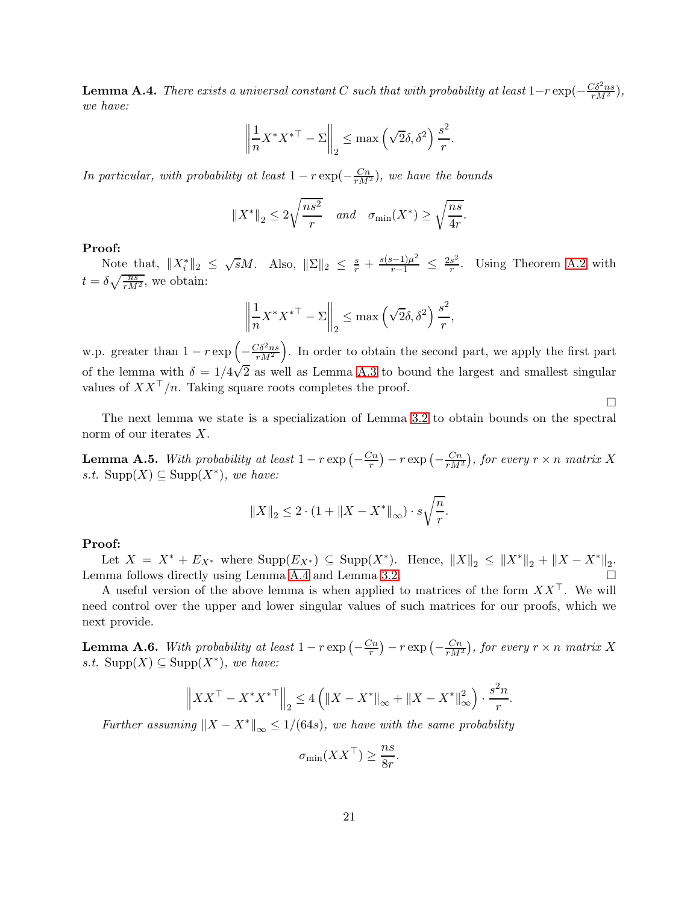<span id="page-20-1"></span>**Lemma A.4.** There exists a universal constant C such that with probability at least  $1-r \exp(-\frac{C\delta^2ns}{rM^2})$ , we have:

$$
\left\| \frac{1}{n} X^* X^{* \top} - \Sigma \right\|_2 \le \max \left( \sqrt{2} \delta, \delta^2 \right) \frac{s^2}{r}.
$$

In particular, with probability at least  $1 - r \exp(-\frac{Cn}{rM^2})$ , we have the bounds

$$
||X^*||_2 \le 2\sqrt{\frac{ns^2}{r}}
$$
 and  $\sigma_{\min}(X^*) \ge \sqrt{\frac{ns}{4r}}$ .

#### Proof:

Note that,  $||X^*||_2 \leq \sqrt{s}M$ . Also,  $||\Sigma||_2 \leq \frac{s}{r} + \frac{s(s-1)\mu^2}{r-1} \leq \frac{2s^2}{r}$  $\frac{s^2}{r}$ . Using Theorem [A.2](#page-19-4) with  $t = \delta \sqrt{\frac{ns}{rM^2}}$ , we obtain:

$$
\left\| \frac{1}{n} X^* X^{* \top} - \Sigma \right\|_2 \le \max \left( \sqrt{2} \delta, \delta^2 \right) \frac{s^2}{r},
$$

w.p. greater than  $1 - r \exp \left(-\frac{C \delta^2 n s}{r M^2}\right)$  . In order to obtain the second part, we apply the first part of the lemma with  $\delta = 1/4\sqrt{2}$  as well as Lemma [A.3](#page-19-1) to bound the largest and smallest singular values of  $XX^{\top}/n$ . Taking square roots completes the proof.

The next lemma we state is a specialization of Lemma [3.2](#page-8-2) to obtain bounds on the spectral norm of our iterates X.

<span id="page-20-0"></span>**Lemma A.5.** With probability at least  $1 - r \exp\left(-\frac{Cn}{r}\right) - r \exp\left(-\frac{Cn}{rM^2}\right)$ , for every  $r \times n$  matrix X s.t. Supp(X) ⊆ Supp(X<sup>\*</sup>), we have:

$$
||X||_2 \leq 2 \cdot (1 + ||X - X^*||_{\infty}) \cdot s \sqrt{\frac{n}{r}}.
$$

### Proof:

Let  $X = X^* + E_{X^*}$  where  $\text{Supp}(E_{X^*}) \subseteq \text{Supp}(X^*)$ . Hence,  $||X||_2 \le ||X^*||_2 + ||X - X^*||_2$ . Lemma follows directly using Lemma [A.4](#page-20-1) and Lemma [3.2.](#page-8-2)

A useful version of the above lemma is when applied to matrices of the form  $XX^{\top}$ . We will need control over the upper and lower singular values of such matrices for our proofs, which we next provide.

**Lemma A.6.** With probability at least  $1 - r \exp\left(-\frac{Cn}{r}\right) - r \exp\left(-\frac{Cn}{rM^2}\right)$ , for every  $r \times n$  matrix X s.t. Supp(X) ⊆ Supp(X<sup>\*</sup>), we have:

$$
\left\|XX^{\top} - X^*{X^*}^{\top}\right\|_2 \le 4\left(\left\|X - X^*\right\|_{\infty} + \left\|X - X^*\right\|_{\infty}^2\right) \cdot \frac{s^2 n}{r}.
$$

Further assuming  $||X - X^*||_{\infty} \leq 1/(64s)$ , we have with the same probability

$$
\sigma_{\min}(XX^{\top}) \ge \frac{ns}{8r}.
$$

 $\Box$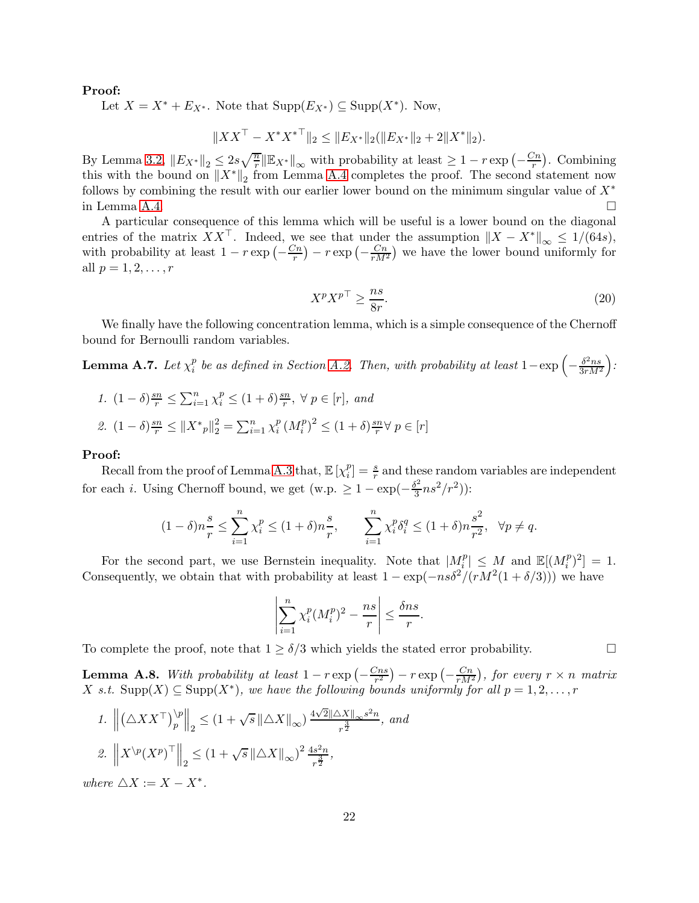#### Proof:

Let  $X = X^* + E_{X^*}$ . Note that  $\text{Supp}(E_{X^*}) \subseteq \text{Supp}(X^*)$ . Now,

$$
||XXT - X^*X^{*T}||_2 \le ||Ex^*||_2(||Ex^*||_2 + 2||X^*||_2).
$$

By Lemma [3.2,](#page-8-2)  $||E_{X^*}||_2 \leq 2s\sqrt{\frac{n}{r}} ||E_{X^*}||_{\infty}$  with probability at least  $\geq 1 - r \exp\left(-\frac{Cn}{r}\right)$  $\frac{C_n}{r}$ ). Combining this with the bound on  $||X^*||_2$  from Lemma [A.4](#page-20-1) completes the proof. The second statement now follows by combining the result with our earlier lower bound on the minimum singular value of  $X^*$ in Lemma [A.4.](#page-20-1)  $\Box$ 

A particular consequence of this lemma which will be useful is a lower bound on the diagonal entries of the matrix XX<sup>T</sup>. Indeed, we see that under the assumption  $||X - X^*||_{\infty} \le 1/(64s)$ , with probability at least  $1 - r \exp\left(-\frac{C_n}{r}\right) - r \exp\left(-\frac{C_n}{rM^2}\right)$  we have the lower bound uniformly for all  $p = 1, 2, ..., r$ 

<span id="page-21-1"></span>
$$
X^p X^{p\top} \ge \frac{ns}{8r}.\tag{20}
$$

We finally have the following concentration lemma, which is a simple consequence of the Chernoff bound for Bernoulli random variables.

<span id="page-21-2"></span>Lemma A.7. Let  $\chi^p_i$  $\frac{p}{i}$  be as defined in Section [A.2.](#page-15-1) Then, with probability at least  $1 - \exp\left(-\frac{\delta^2 n s}{3r M^2}\right)$  $3rM^2$  $\big).$ 

1.  $(1 - \delta) \frac{sn}{r}$  ≤  $\sum_{i=1}^{n} \chi_i^p$  ≤  $(1 + \delta) \frac{sn}{r}$  $\frac{sn}{r}, \forall p \in [r], \text{ and}$ 2.  $(1 - \delta) \frac{sn}{r} \leq ||X^*_{p}||_2^2 = \sum_{i=1}^n \chi_i^p$  $\sum_{i}^{p} (M_{i}^{p})^{2} \leq (1 + \delta) \frac{sn}{r}$  $\frac{\sin \theta}{r}$  $\forall$   $p \in [r]$ 

#### Proof:

Recall from the proof of Lemma [A.3](#page-19-1) that,  $\mathbb{E}\left[\chi_i^p\right]$  $\binom{p}{i} = \frac{s}{r}$  and these random variables are independent for each *i*. Using Chernoff bound, we get (w.p.  $\geq 1 - \exp(-\frac{\delta^2}{3})$  $\frac{\delta^2}{3}ns^2/r^2)$ ):

$$
(1 - \delta)n\frac{s}{r} \le \sum_{i=1}^n \chi_i^p \le (1 + \delta)n\frac{s}{r}, \qquad \sum_{i=1}^n \chi_i^p \delta_i^q \le (1 + \delta)n\frac{s^2}{r^2}, \quad \forall p \ne q.
$$

For the second part, we use Bernstein inequality. Note that  $|M_i^p| \leq M$  and  $\mathbb{E}[(M_i^p)^2] = 1$ . Consequently, we obtain that with probability at least  $1 - \exp(-ns\delta^2/(rM^2(1 + \delta/3)))$  we have

$$
\left| \sum_{i=1}^{n} \chi_i^p (M_i^p)^2 - \frac{ns}{r} \right| \le \frac{\delta ns}{r}.
$$

To complete the proof, note that  $1 \ge \delta/3$  which yields the stated error probability.

<span id="page-21-0"></span>**Lemma A.8.** With probability at least  $1 - r \exp \left(-\frac{Cns}{r^2}\right)$  $\left(\frac{C_{ns}}{r^{2}}\right) - r \exp \left(-\frac{C_{n}}{r M^{2}}\right)$ , for every  $r \times n$  matrix  $X$  s.t.  $\text{Supp}(X) \subseteq \text{Supp}(X^*)$ , we have the following bounds uniformly for all  $p = 1, 2, ..., r$ 

1. 
$$
\left\| \left( \Delta X X^{\top} \right)_{p}^{\backslash p} \right\|_{2} \leq \left( 1 + \sqrt{s} \left\| \Delta X \right\|_{\infty} \right) \frac{4\sqrt{2} \|\Delta X\|_{\infty} s^{2} n}{r^{\frac{3}{2}}}, \text{ and}
$$
  
2.  $\left\| X^{\backslash p} (X^{p})^{\top} \right\|_{2} \leq \left( 1 + \sqrt{s} \left\| \Delta X \right\|_{\infty} \right)^{2} \frac{4s^{2} n}{r^{\frac{3}{2}}},$ 

where  $\triangle X := X - X^*$ .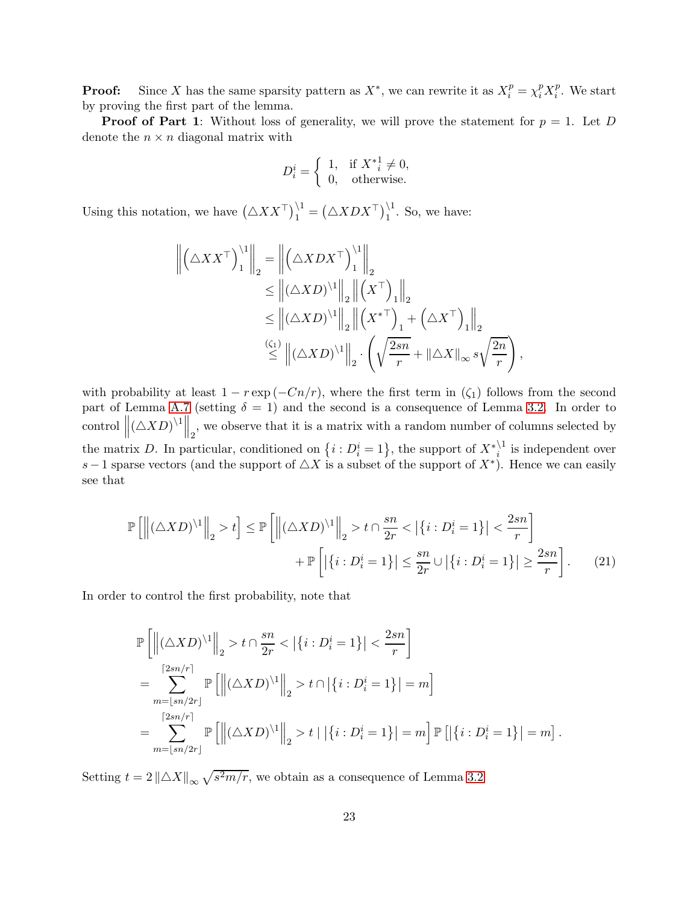**Proof:** Since X has the same sparsity pattern as  $X^*$ , we can rewrite it as  $X_i^p = \chi_i^p X_i^p$  $i^p$ . We start by proving the first part of the lemma.

**Proof of Part 1:** Without loss of generality, we will prove the statement for  $p = 1$ . Let D denote the  $n \times n$  diagonal matrix with

$$
D_i^i = \left\{ \begin{array}{ll} 1, & \text{if } X^*_{i} \neq 0, \\ 0, & \text{otherwise.} \end{array} \right.
$$

Using this notation, we have  $(\triangle X X^{\top})_1^{\setminus 1} = (\triangle X D X^{\top})_1^{\setminus 1}$ . So, we have:

$$
\left\| \left( \Delta X X^{\top} \right)_1^{11} \right\|_2 = \left\| \left( \Delta X D X^{\top} \right)_1^{11} \right\|_2
$$
  
\n
$$
\leq \left\| (\Delta X D)^{11} \right\|_2 \left\| \left( X^{\top} \right)_1 \right\|_2
$$
  
\n
$$
\leq \left\| (\Delta X D)^{11} \right\|_2 \left\| \left( X^{*\top} \right)_1 + \left( \Delta X^{\top} \right)_1 \right\|_2
$$
  
\n
$$
\stackrel{(\zeta_1)}{\leq} \left\| (\Delta X D)^{11} \right\|_2 \cdot \left( \sqrt{\frac{2sn}{r}} + \|\Delta X\|_{\infty} s \sqrt{\frac{2n}{r}} \right),
$$

with probability at least  $1 - r \exp(-Cn/r)$ , where the first term in  $(\zeta_1)$  follows from the second part of Lemma [A.7](#page-21-2) (setting  $\delta = 1$ ) and the second is a consequence of Lemma [3.2.](#page-8-2) In order to control  $\left\| (\triangle XD)^{1} \right\|_2$ , we observe that it is a matrix with a random number of columns selected by the matrix D. In particular, conditioned on  $\{i : D_i^i = 1\}$ , the support of  $X^*_{i}^{\backslash 1}$  is independent over s – 1 sparse vectors (and the support of  $\triangle X$  is a subset of the support of  $X^*$ ). Hence we can easily see that

$$
\mathbb{P}\left[\left\|(\triangle XD)^{11}\right\|_{2} > t\right] \le \mathbb{P}\left[\left\|(\triangle XD)^{11}\right\|_{2} > t \cap \frac{sn}{2r} < \left|\left\{i : D_{i}^{i} = 1\right\}\right| < \frac{2sn}{r}\right] + \mathbb{P}\left[\left|\left\{i : D_{i}^{i} = 1\right\}\right| \le \frac{sn}{2r} \cup \left|\left\{i : D_{i}^{i} = 1\right\}\right| \ge \frac{2sn}{r}\right].
$$
 (21)

In order to control the first probability, note that

<span id="page-22-0"></span>
$$
\begin{split} &\mathbb{P}\left[\left\|(\triangle X D)^{\backslash 1}\right\|_{2} > t\cap \frac{sn}{2r} < \left|\left\{i: D_{i}^{i}=1\right\}\right| < \frac{2sn}{r}\right] \\ &= \sum_{m=\lfloor sn/r \rceil}^{\lceil 2sn/r \rceil} \mathbb{P}\left[\left\|(\triangle X D)^{\backslash 1}\right\|_{2} > t\cap\left|\left\{i: D_{i}^{i}=1\right\}\right|=m\right] \\ &= \sum_{m=\lfloor sn/2r \rfloor}^{\lceil 2sn/r \rceil} \mathbb{P}\left[\left\|(\triangle X D)^{\backslash 1}\right\|_{2} > t\mid\left|\left\{i: D_{i}^{i}=1\right\}\right|=m\right] \mathbb{P}\left[\left|\left\{i: D_{i}^{i}=1\right\}\right|=m\right]. \end{split}
$$

Setting  $t = 2 \left\| \triangle X \right\|_{\infty} \sqrt{s^2 m / r}$ , we obtain as a consequence of Lemma [3.2](#page-8-2)